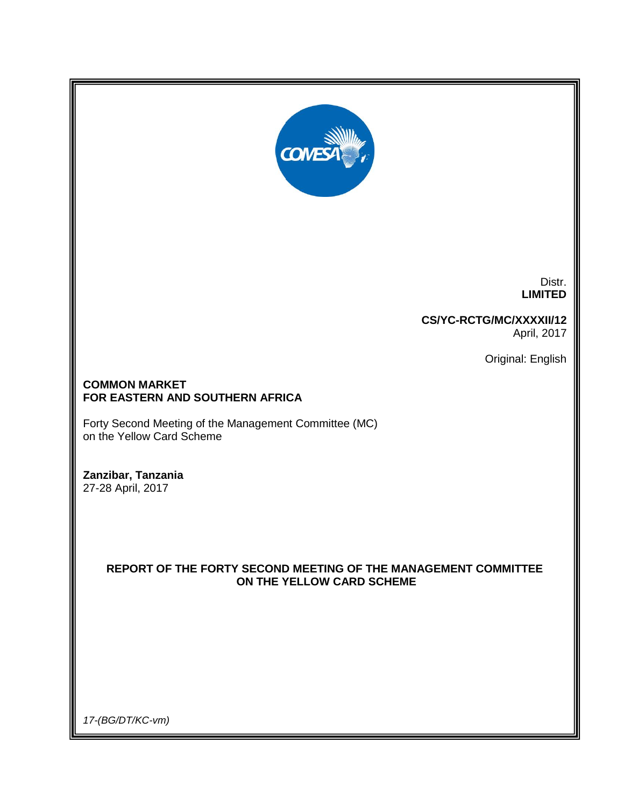

Distr. **LIMITED**

**CS/YC-RCTG/MC/XXXXII/12** April, 2017

Original: English

### **COMMON MARKET FOR EASTERN AND SOUTHERN AFRICA**

Forty Second Meeting of the Management Committee (MC) on the Yellow Card Scheme

#### **Zanzibar, Tanzania**  27-28 April, 2017

### **REPORT OF THE FORTY SECOND MEETING OF THE MANAGEMENT COMMITTEE ON THE YELLOW CARD SCHEME**

1. The Fourtieth Meeting of the Management Committee (MC) of the Yellow Card Scheme

was held in Livingstone, Zambia from the 21st to 21st to 21st to 21st to 21st to 21st to 22nd April 2016, at t *17-(BG/DT/KC-vm)*

**A. INTRODUCTION**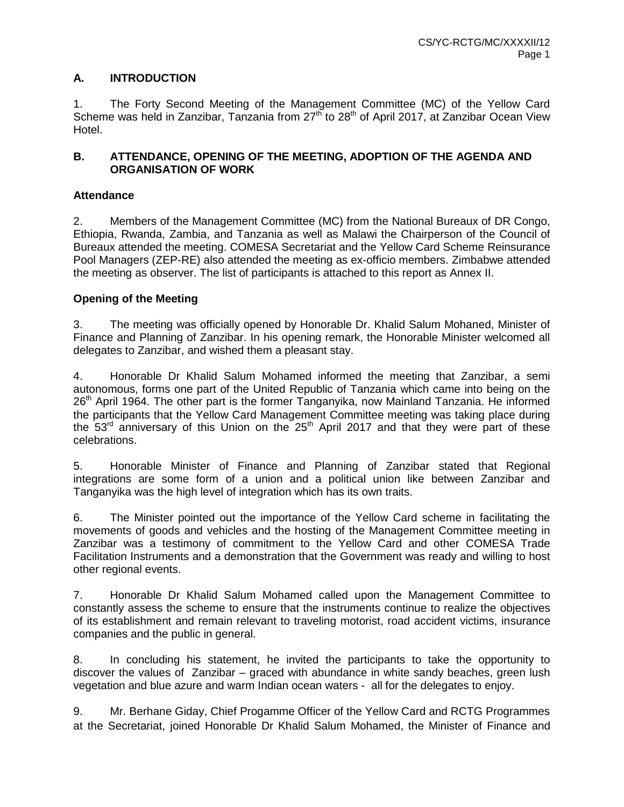### **A. INTRODUCTION**

1. The Forty Second Meeting of the Management Committee (MC) of the Yellow Card Scheme was held in Zanzibar, Tanzania from 27<sup>th</sup> to 28<sup>th</sup> of April 2017, at Zanzibar Ocean View Hotel.

#### **B. ATTENDANCE, OPENING OF THE MEETING, ADOPTION OF THE AGENDA AND ORGANISATION OF WORK**

### **Attendance**

2. Members of the Management Committee (MC) from the National Bureaux of DR Congo, Ethiopia, Rwanda, Zambia, and Tanzania as well as Malawi the Chairperson of the Council of Bureaux attended the meeting. COMESA Secretariat and the Yellow Card Scheme Reinsurance Pool Managers (ZEP-RE) also attended the meeting as ex-officio members. Zimbabwe attended the meeting as observer. The list of participants is attached to this report as Annex II.

#### **Opening of the Meeting**

3. The meeting was officially opened by Honorable Dr. Khalid Salum Mohaned, Minister of Finance and Planning of Zanzibar. In his opening remark, the Honorable Minister welcomed all delegates to Zanzibar, and wished them a pleasant stay.

4. Honorable Dr Khalid Salum Mohamed informed the meeting that Zanzibar, a semi autonomous, forms one part of the United Republic of Tanzania which came into being on the 26<sup>th</sup> April 1964. The other part is the former Tanganyika, now Mainland Tanzania. He informed the participants that the Yellow Card Management Committee meeting was taking place during the  $53<sup>rd</sup>$  anniversary of this Union on the  $25<sup>th</sup>$  April 2017 and that they were part of these celebrations.

5. Honorable Minister of Finance and Planning of Zanzibar stated that Regional integrations are some form of a union and a political union like between Zanzibar and Tanganyika was the high level of integration which has its own traits.

6. The Minister pointed out the importance of the Yellow Card scheme in facilitating the movements of goods and vehicles and the hosting of the Management Committee meeting in Zanzibar was a testimony of commitment to the Yellow Card and other COMESA Trade Facilitation Instruments and a demonstration that the Government was ready and willing to host other regional events.

7. Honorable Dr Khalid Salum Mohamed called upon the Management Committee to constantly assess the scheme to ensure that the instruments continue to realize the objectives of its establishment and remain relevant to traveling motorist, road accident victims, insurance companies and the public in general.

8. In concluding his statement, he invited the participants to take the opportunity to discover the values of Zanzibar – graced with abundance in white sandy beaches, green lush vegetation and blue azure and warm Indian ocean waters - all for the delegates to enjoy.

9. Mr. Berhane Giday, Chief Progamme Officer of the Yellow Card and RCTG Programmes at the Secretariat, joined Honorable Dr Khalid Salum Mohamed, the Minister of Finance and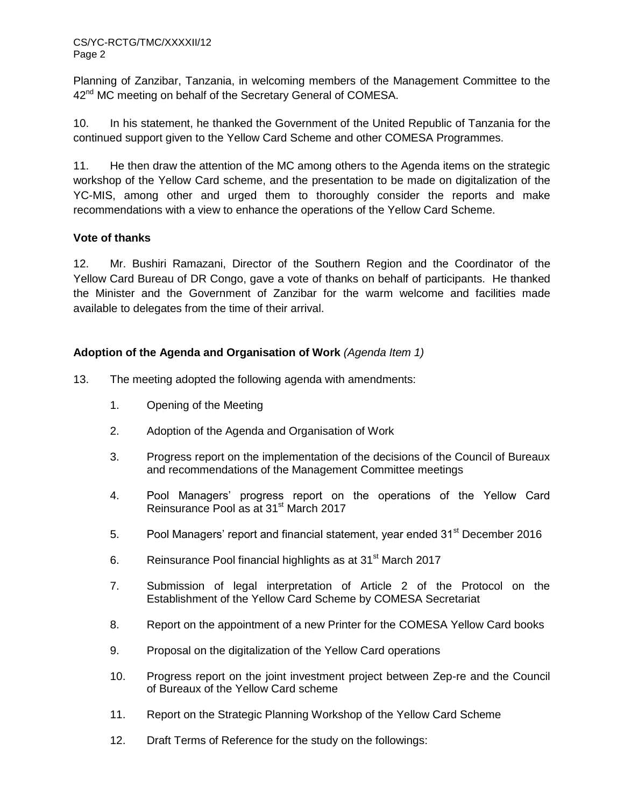Planning of Zanzibar, Tanzania, in welcoming members of the Management Committee to the 42<sup>nd</sup> MC meeting on behalf of the Secretary General of COMESA.

10. In his statement, he thanked the Government of the United Republic of Tanzania for the continued support given to the Yellow Card Scheme and other COMESA Programmes.

11. He then draw the attention of the MC among others to the Agenda items on the strategic workshop of the Yellow Card scheme, and the presentation to be made on digitalization of the YC-MIS, among other and urged them to thoroughly consider the reports and make recommendations with a view to enhance the operations of the Yellow Card Scheme.

### **Vote of thanks**

12. Mr. Bushiri Ramazani, Director of the Southern Region and the Coordinator of the Yellow Card Bureau of DR Congo, gave a vote of thanks on behalf of participants. He thanked the Minister and the Government of Zanzibar for the warm welcome and facilities made available to delegates from the time of their arrival.

### **Adoption of the Agenda and Organisation of Work** *(Agenda Item 1)*

- 13. The meeting adopted the following agenda with amendments:
	- 1. Opening of the Meeting
	- 2. Adoption of the Agenda and Organisation of Work
	- 3. Progress report on the implementation of the decisions of the Council of Bureaux and recommendations of the Management Committee meetings
	- 4. Pool Managers' progress report on the operations of the Yellow Card Reinsurance Pool as at 31<sup>st</sup> March 2017
	- 5. Pool Managers' report and financial statement, year ended 31<sup>st</sup> December 2016
	- 6. Reinsurance Pool financial highlights as at  $31<sup>st</sup>$  March 2017
	- 7. Submission of legal interpretation of Article 2 of the Protocol on the Establishment of the Yellow Card Scheme by COMESA Secretariat
	- 8. Report on the appointment of a new Printer for the COMESA Yellow Card books
	- 9. Proposal on the digitalization of the Yellow Card operations
	- 10. Progress report on the joint investment project between Zep-re and the Council of Bureaux of the Yellow Card scheme
	- 11. Report on the Strategic Planning Workshop of the Yellow Card Scheme
	- 12. Draft Terms of Reference for the study on the followings: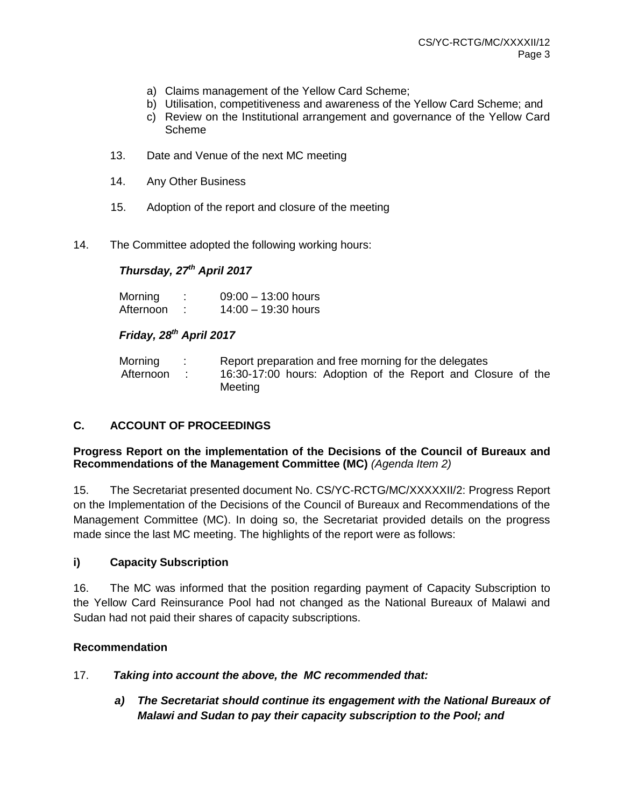- a) Claims management of the Yellow Card Scheme;
- b) Utilisation, competitiveness and awareness of the Yellow Card Scheme; and
- c) Review on the Institutional arrangement and governance of the Yellow Card Scheme
- 13. Date and Venue of the next MC meeting
- 14. Any Other Business
- 15. Adoption of the report and closure of the meeting
- 14. The Committee adopted the following working hours:

### *Thursday, 27th April 2017*

| Morning   | $09:00 - 13:00$ hours |
|-----------|-----------------------|
| Afternoon | $14:00 - 19:30$ hours |

### *Friday, 28 th April 2017*

| Morning   | Report preparation and free morning for the delegates        |
|-----------|--------------------------------------------------------------|
| Afternoon | 16:30-17:00 hours: Adoption of the Report and Closure of the |
|           | Meetina                                                      |

### **C. ACCOUNT OF PROCEEDINGS**

#### **Progress Report on the implementation of the Decisions of the Council of Bureaux and Recommendations of the Management Committee (MC)** *(Agenda Item 2)*

15. The Secretariat presented document No. CS/YC-RCTG/MC/XXXXXII/2: Progress Report on the Implementation of the Decisions of the Council of Bureaux and Recommendations of the Management Committee (MC). In doing so, the Secretariat provided details on the progress made since the last MC meeting. The highlights of the report were as follows:

### **i) Capacity Subscription**

16. The MC was informed that the position regarding payment of Capacity Subscription to the Yellow Card Reinsurance Pool had not changed as the National Bureaux of Malawi and Sudan had not paid their shares of capacity subscriptions.

### **Recommendation**

#### 17. *Taking into account the above, the MC recommended that:*

*a) The Secretariat should continue its engagement with the National Bureaux of Malawi and Sudan to pay their capacity subscription to the Pool; and*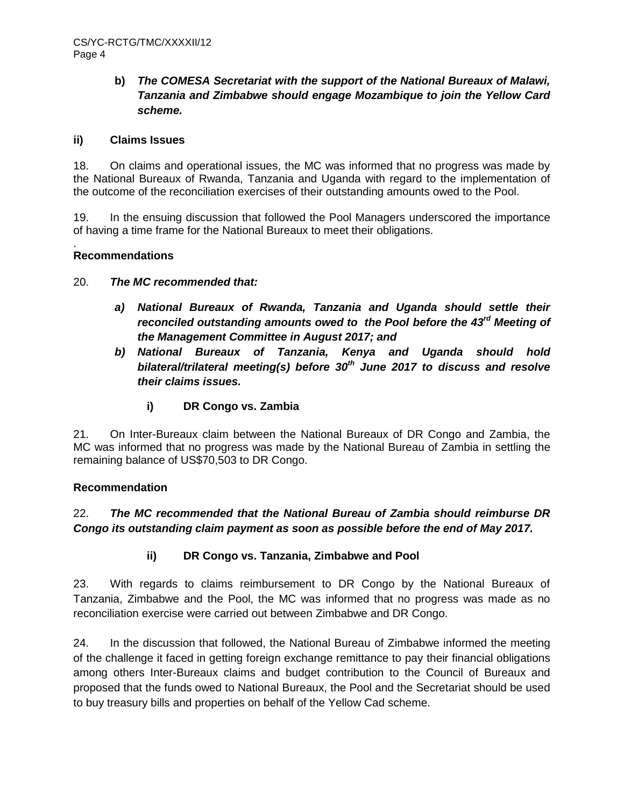# **b)** *The COMESA Secretariat with the support of the National Bureaux of Malawi, Tanzania and Zimbabwe should engage Mozambique to join the Yellow Card scheme.*

### **ii) Claims Issues**

18. On claims and operational issues, the MC was informed that no progress was made by the National Bureaux of Rwanda, Tanzania and Uganda with regard to the implementation of the outcome of the reconciliation exercises of their outstanding amounts owed to the Pool.

19. In the ensuing discussion that followed the Pool Managers underscored the importance of having a time frame for the National Bureaux to meet their obligations.

#### . **Recommendations**

### 20. *The MC recommended that:*

- *a) National Bureaux of Rwanda, Tanzania and Uganda should settle their reconciled outstanding amounts owed to the Pool before the 43rd Meeting of the Management Committee in August 2017; and*
- *b) National Bureaux of Tanzania, Kenya and Uganda should hold bilateral/trilateral meeting(s) before 30th June 2017 to discuss and resolve their claims issues.* 
	- **i) DR Congo vs. Zambia**

21. On Inter-Bureaux claim between the National Bureaux of DR Congo and Zambia, the MC was informed that no progress was made by the National Bureau of Zambia in settling the remaining balance of US\$70,503 to DR Congo.

### **Recommendation**

# 22. *The MC recommended that the National Bureau of Zambia should reimburse DR Congo its outstanding claim payment as soon as possible before the end of May 2017.*

# **ii) DR Congo vs. Tanzania, Zimbabwe and Pool**

23. With regards to claims reimbursement to DR Congo by the National Bureaux of Tanzania, Zimbabwe and the Pool, the MC was informed that no progress was made as no reconciliation exercise were carried out between Zimbabwe and DR Congo.

24. In the discussion that followed, the National Bureau of Zimbabwe informed the meeting of the challenge it faced in getting foreign exchange remittance to pay their financial obligations among others Inter-Bureaux claims and budget contribution to the Council of Bureaux and proposed that the funds owed to National Bureaux, the Pool and the Secretariat should be used to buy treasury bills and properties on behalf of the Yellow Cad scheme.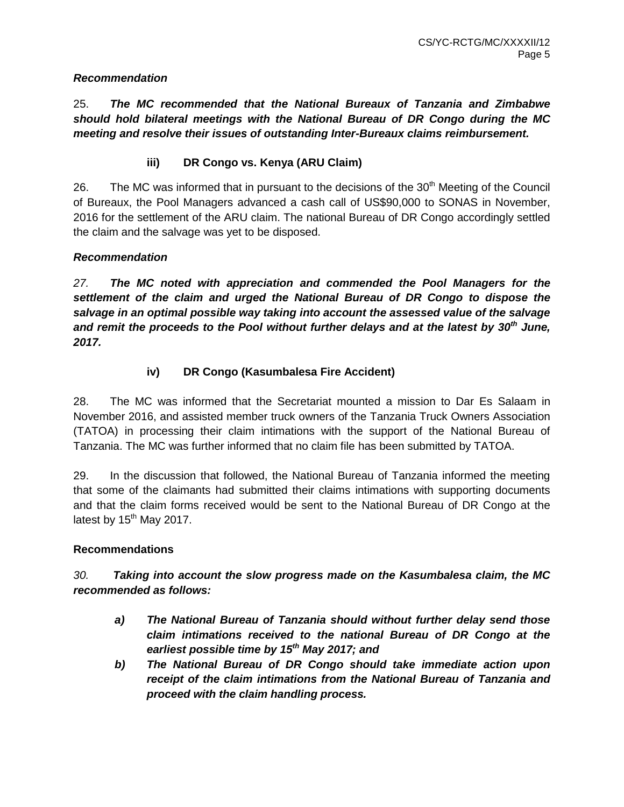### *Recommendation*

25. *The MC recommended that the National Bureaux of Tanzania and Zimbabwe should hold bilateral meetings with the National Bureau of DR Congo during the MC meeting and resolve their issues of outstanding Inter-Bureaux claims reimbursement.* 

### **iii) DR Congo vs. Kenya (ARU Claim)**

26. The MC was informed that in pursuant to the decisions of the  $30<sup>th</sup>$  Meeting of the Council of Bureaux, the Pool Managers advanced a cash call of US\$90,000 to SONAS in November, 2016 for the settlement of the ARU claim. The national Bureau of DR Congo accordingly settled the claim and the salvage was yet to be disposed.

### *Recommendation*

*27. The MC noted with appreciation and commended the Pool Managers for the settlement of the claim and urged the National Bureau of DR Congo to dispose the salvage in an optimal possible way taking into account the assessed value of the salvage and remit the proceeds to the Pool without further delays and at the latest by 30th June, 2017.*

### **iv) DR Congo (Kasumbalesa Fire Accident)**

28. The MC was informed that the Secretariat mounted a mission to Dar Es Salaam in November 2016, and assisted member truck owners of the Tanzania Truck Owners Association (TATOA) in processing their claim intimations with the support of the National Bureau of Tanzania. The MC was further informed that no claim file has been submitted by TATOA.

29. In the discussion that followed, the National Bureau of Tanzania informed the meeting that some of the claimants had submitted their claims intimations with supporting documents and that the claim forms received would be sent to the National Bureau of DR Congo at the latest by  $15<sup>th</sup>$  May 2017.

### **Recommendations**

*30. Taking into account the slow progress made on the Kasumbalesa claim, the MC recommended as follows:*

- *a) The National Bureau of Tanzania should without further delay send those claim intimations received to the national Bureau of DR Congo at the earliest possible time by 15th May 2017; and*
- *b) The National Bureau of DR Congo should take immediate action upon receipt of the claim intimations from the National Bureau of Tanzania and proceed with the claim handling process.*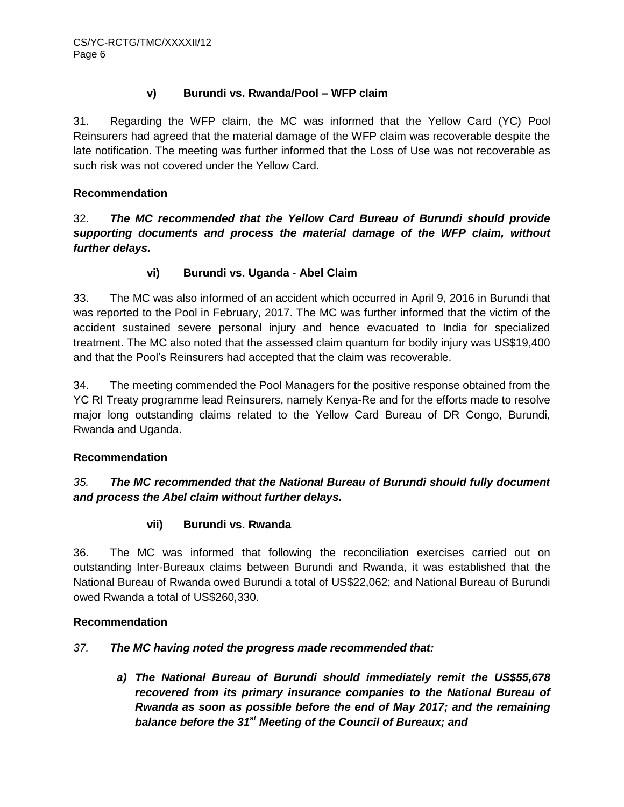### **v) Burundi vs. Rwanda/Pool – WFP claim**

31. Regarding the WFP claim, the MC was informed that the Yellow Card (YC) Pool Reinsurers had agreed that the material damage of the WFP claim was recoverable despite the late notification. The meeting was further informed that the Loss of Use was not recoverable as such risk was not covered under the Yellow Card.

### **Recommendation**

# 32. *The MC recommended that the Yellow Card Bureau of Burundi should provide supporting documents and process the material damage of the WFP claim, without further delays.*

# **vi) Burundi vs. Uganda - Abel Claim**

33. The MC was also informed of an accident which occurred in April 9, 2016 in Burundi that was reported to the Pool in February, 2017. The MC was further informed that the victim of the accident sustained severe personal injury and hence evacuated to India for specialized treatment. The MC also noted that the assessed claim quantum for bodily injury was US\$19,400 and that the Pool's Reinsurers had accepted that the claim was recoverable.

34. The meeting commended the Pool Managers for the positive response obtained from the YC RI Treaty programme lead Reinsurers, namely Kenya-Re and for the efforts made to resolve major long outstanding claims related to the Yellow Card Bureau of DR Congo, Burundi, Rwanda and Uganda.

### **Recommendation**

# *35. The MC recommended that the National Bureau of Burundi should fully document and process the Abel claim without further delays.*

# **vii) Burundi vs. Rwanda**

36. The MC was informed that following the reconciliation exercises carried out on outstanding Inter-Bureaux claims between Burundi and Rwanda, it was established that the National Bureau of Rwanda owed Burundi a total of US\$22,062; and National Bureau of Burundi owed Rwanda a total of US\$260,330.

### **Recommendation**

# *37. The MC having noted the progress made recommended that:*

*a) The National Bureau of Burundi should immediately remit the US\$55,678 recovered from its primary insurance companies to the National Bureau of Rwanda as soon as possible before the end of May 2017; and the remaining balance before the 31st Meeting of the Council of Bureaux; and*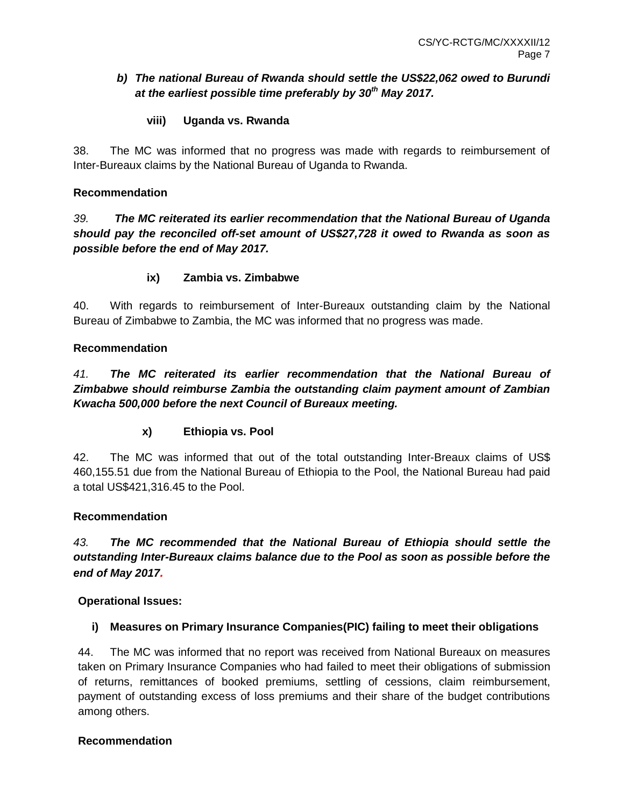# *b) The national Bureau of Rwanda should settle the US\$22,062 owed to Burundi at the earliest possible time preferably by 30th May 2017.*

# **viii) Uganda vs. Rwanda**

38. The MC was informed that no progress was made with regards to reimbursement of Inter-Bureaux claims by the National Bureau of Uganda to Rwanda.

### **Recommendation**

# *39. The MC reiterated its earlier recommendation that the National Bureau of Uganda should pay the reconciled off-set amount of US\$27,728 it owed to Rwanda as soon as possible before the end of May 2017.*

# **ix) Zambia vs. Zimbabwe**

40. With regards to reimbursement of Inter-Bureaux outstanding claim by the National Bureau of Zimbabwe to Zambia, the MC was informed that no progress was made.

### **Recommendation**

# *41. The MC reiterated its earlier recommendation that the National Bureau of Zimbabwe should reimburse Zambia the outstanding claim payment amount of Zambian Kwacha 500,000 before the next Council of Bureaux meeting.*

# **x) Ethiopia vs. Pool**

42. The MC was informed that out of the total outstanding Inter-Breaux claims of US\$ 460,155.51 due from the National Bureau of Ethiopia to the Pool, the National Bureau had paid a total US\$421,316.45 to the Pool.

### **Recommendation**

# *43. The MC recommended that the National Bureau of Ethiopia should settle the outstanding Inter-Bureaux claims balance due to the Pool as soon as possible before the end of May 2017.*

### **Operational Issues:**

# **i) Measures on Primary Insurance Companies(PIC) failing to meet their obligations**

44. The MC was informed that no report was received from National Bureaux on measures taken on Primary Insurance Companies who had failed to meet their obligations of submission of returns, remittances of booked premiums, settling of cessions, claim reimbursement, payment of outstanding excess of loss premiums and their share of the budget contributions among others.

### **Recommendation**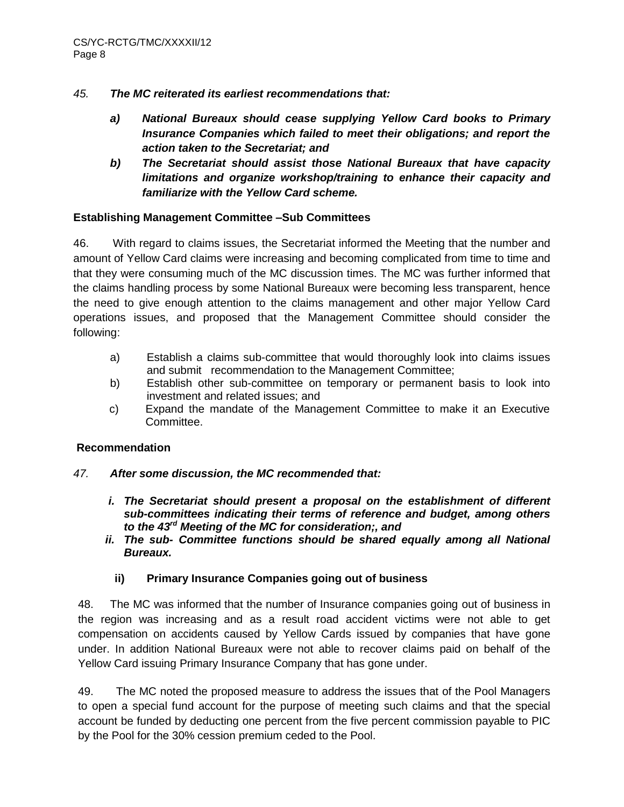### *45. The MC reiterated its earliest recommendations that:*

- *a) National Bureaux should cease supplying Yellow Card books to Primary Insurance Companies which failed to meet their obligations; and report the action taken to the Secretariat; and*
- *b) The Secretariat should assist those National Bureaux that have capacity limitations and organize workshop/training to enhance their capacity and familiarize with the Yellow Card scheme.*

#### **Establishing Management Committee –Sub Committees**

46. With regard to claims issues, the Secretariat informed the Meeting that the number and amount of Yellow Card claims were increasing and becoming complicated from time to time and that they were consuming much of the MC discussion times. The MC was further informed that the claims handling process by some National Bureaux were becoming less transparent, hence the need to give enough attention to the claims management and other major Yellow Card operations issues, and proposed that the Management Committee should consider the following:

- a) Establish a claims sub-committee that would thoroughly look into claims issues and submit recommendation to the Management Committee;
- b) Establish other sub-committee on temporary or permanent basis to look into investment and related issues; and
- c) Expand the mandate of the Management Committee to make it an Executive Committee.

#### **Recommendation**

- *47. After some discussion, the MC recommended that:*
	- *i. The Secretariat should present a proposal on the establishment of different sub-committees indicating their terms of reference and budget, among others to the 43rd Meeting of the MC for consideration;, and*
	- *ii. The sub- Committee functions should be shared equally among all National Bureaux.*

### **ii) Primary Insurance Companies going out of business**

48. The MC was informed that the number of Insurance companies going out of business in the region was increasing and as a result road accident victims were not able to get compensation on accidents caused by Yellow Cards issued by companies that have gone under. In addition National Bureaux were not able to recover claims paid on behalf of the Yellow Card issuing Primary Insurance Company that has gone under.

49. The MC noted the proposed measure to address the issues that of the Pool Managers to open a special fund account for the purpose of meeting such claims and that the special account be funded by deducting one percent from the five percent commission payable to PIC by the Pool for the 30% cession premium ceded to the Pool.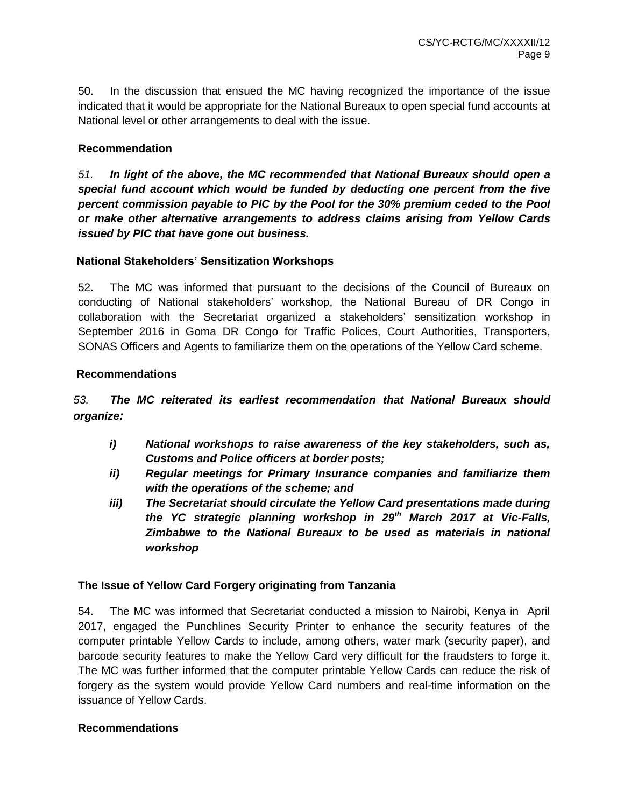50. In the discussion that ensued the MC having recognized the importance of the issue indicated that it would be appropriate for the National Bureaux to open special fund accounts at National level or other arrangements to deal with the issue.

### **Recommendation**

*51. In light of the above, the MC recommended that National Bureaux should open a special fund account which would be funded by deducting one percent from the five percent commission payable to PIC by the Pool for the 30% premium ceded to the Pool or make other alternative arrangements to address claims arising from Yellow Cards issued by PIC that have gone out business.* 

### **National Stakeholders' Sensitization Workshops**

52. The MC was informed that pursuant to the decisions of the Council of Bureaux on conducting of National stakeholders' workshop, the National Bureau of DR Congo in collaboration with the Secretariat organized a stakeholders' sensitization workshop in September 2016 in Goma DR Congo for Traffic Polices, Court Authorities, Transporters, SONAS Officers and Agents to familiarize them on the operations of the Yellow Card scheme.

### **Recommendations**

# *53. The MC reiterated its earliest recommendation that National Bureaux should organize:*

- *i) National workshops to raise awareness of the key stakeholders, such as, Customs and Police officers at border posts;*
- *ii) Regular meetings for Primary Insurance companies and familiarize them with the operations of the scheme; and*
- *iii) The Secretariat should circulate the Yellow Card presentations made during the YC strategic planning workshop in 29th March 2017 at Vic-Falls, Zimbabwe to the National Bureaux to be used as materials in national workshop*

### **The Issue of Yellow Card Forgery originating from Tanzania**

54. The MC was informed that Secretariat conducted a mission to Nairobi, Kenya in April 2017, engaged the Punchlines Security Printer to enhance the security features of the computer printable Yellow Cards to include, among others, water mark (security paper), and barcode security features to make the Yellow Card very difficult for the fraudsters to forge it. The MC was further informed that the computer printable Yellow Cards can reduce the risk of forgery as the system would provide Yellow Card numbers and real-time information on the issuance of Yellow Cards.

### **Recommendations**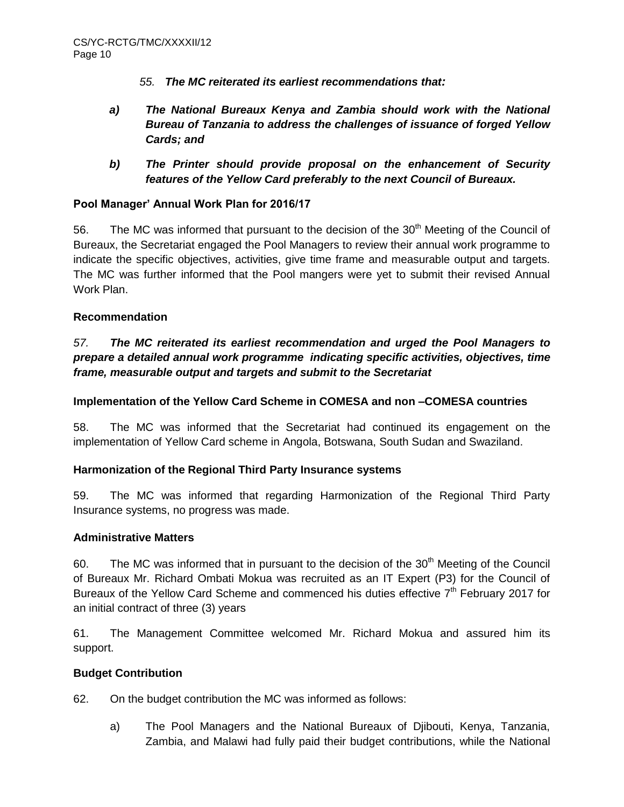- *55. The MC reiterated its earliest recommendations that:*
- *a) The National Bureaux Kenya and Zambia should work with the National Bureau of Tanzania to address the challenges of issuance of forged Yellow Cards; and*
- *b) The Printer should provide proposal on the enhancement of Security features of the Yellow Card preferably to the next Council of Bureaux.*

### **Pool Manager' Annual Work Plan for 2016/17**

56. The MC was informed that pursuant to the decision of the  $30<sup>th</sup>$  Meeting of the Council of Bureaux, the Secretariat engaged the Pool Managers to review their annual work programme to indicate the specific objectives, activities, give time frame and measurable output and targets. The MC was further informed that the Pool mangers were yet to submit their revised Annual Work Plan.

### **Recommendation**

# *57. The MC reiterated its earliest recommendation and urged the Pool Managers to prepare a detailed annual work programme indicating specific activities, objectives, time frame, measurable output and targets and submit to the Secretariat*

### **Implementation of the Yellow Card Scheme in COMESA and non –COMESA countries**

58. The MC was informed that the Secretariat had continued its engagement on the implementation of Yellow Card scheme in Angola, Botswana, South Sudan and Swaziland.

### **Harmonization of the Regional Third Party Insurance systems**

59. The MC was informed that regarding Harmonization of the Regional Third Party Insurance systems, no progress was made.

### **Administrative Matters**

60. The MC was informed that in pursuant to the decision of the  $30<sup>th</sup>$  Meeting of the Council of Bureaux Mr. Richard Ombati Mokua was recruited as an IT Expert (P3) for the Council of Bureaux of the Yellow Card Scheme and commenced his duties effective  $7<sup>th</sup>$  February 2017 for an initial contract of three (3) years

61. The Management Committee welcomed Mr. Richard Mokua and assured him its support.

### **Budget Contribution**

62. On the budget contribution the MC was informed as follows:

a) The Pool Managers and the National Bureaux of Djibouti, Kenya, Tanzania, Zambia, and Malawi had fully paid their budget contributions, while the National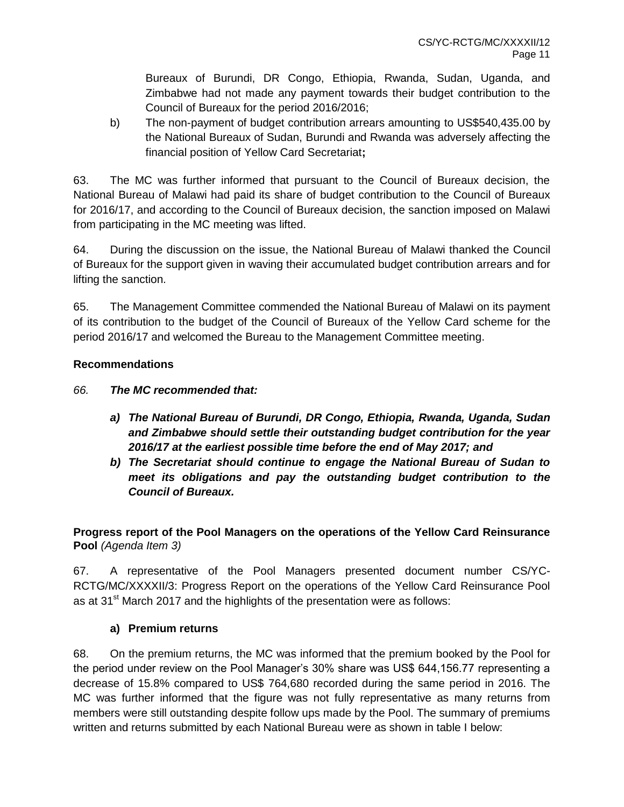Bureaux of Burundi, DR Congo, Ethiopia, Rwanda, Sudan, Uganda, and Zimbabwe had not made any payment towards their budget contribution to the Council of Bureaux for the period 2016/2016;

b) The non-payment of budget contribution arrears amounting to US\$540,435.00 by the National Bureaux of Sudan, Burundi and Rwanda was adversely affecting the financial position of Yellow Card Secretariat**;**

63. The MC was further informed that pursuant to the Council of Bureaux decision, the National Bureau of Malawi had paid its share of budget contribution to the Council of Bureaux for 2016/17, and according to the Council of Bureaux decision, the sanction imposed on Malawi from participating in the MC meeting was lifted.

64. During the discussion on the issue, the National Bureau of Malawi thanked the Council of Bureaux for the support given in waving their accumulated budget contribution arrears and for lifting the sanction.

65. The Management Committee commended the National Bureau of Malawi on its payment of its contribution to the budget of the Council of Bureaux of the Yellow Card scheme for the period 2016/17 and welcomed the Bureau to the Management Committee meeting.

# **Recommendations**

*66. The MC recommended that:*

- *a) The National Bureau of Burundi, DR Congo, Ethiopia, Rwanda, Uganda, Sudan and Zimbabwe should settle their outstanding budget contribution for the year 2016/17 at the earliest possible time before the end of May 2017; and*
- *b) The Secretariat should continue to engage the National Bureau of Sudan to meet its obligations and pay the outstanding budget contribution to the Council of Bureaux.*

**Progress report of the Pool Managers on the operations of the Yellow Card Reinsurance Pool** *(Agenda Item 3)*

67. A representative of the Pool Managers presented document number CS/YC-RCTG/MC/XXXXII/3: Progress Report on the operations of the Yellow Card Reinsurance Pool as at 31 $\mathrm{st}$  March 2017 and the highlights of the presentation were as follows:

# **a) Premium returns**

68. On the premium returns, the MC was informed that the premium booked by the Pool for the period under review on the Pool Manager's 30% share was US\$ 644,156.77 representing a decrease of 15.8% compared to US\$ 764,680 recorded during the same period in 2016. The MC was further informed that the figure was not fully representative as many returns from members were still outstanding despite follow ups made by the Pool. The summary of premiums written and returns submitted by each National Bureau were as shown in table I below: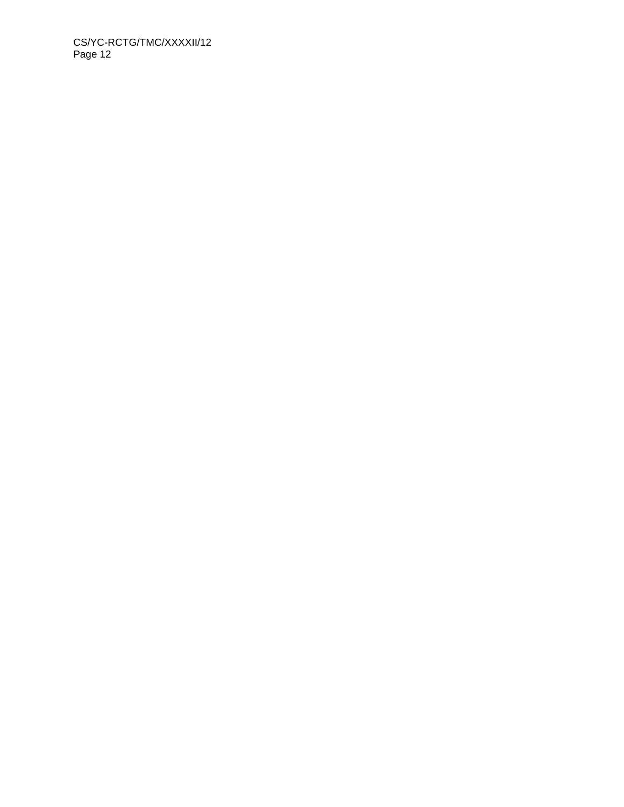CS/YC-RCTG/TMC/XXXXII/12 Page 12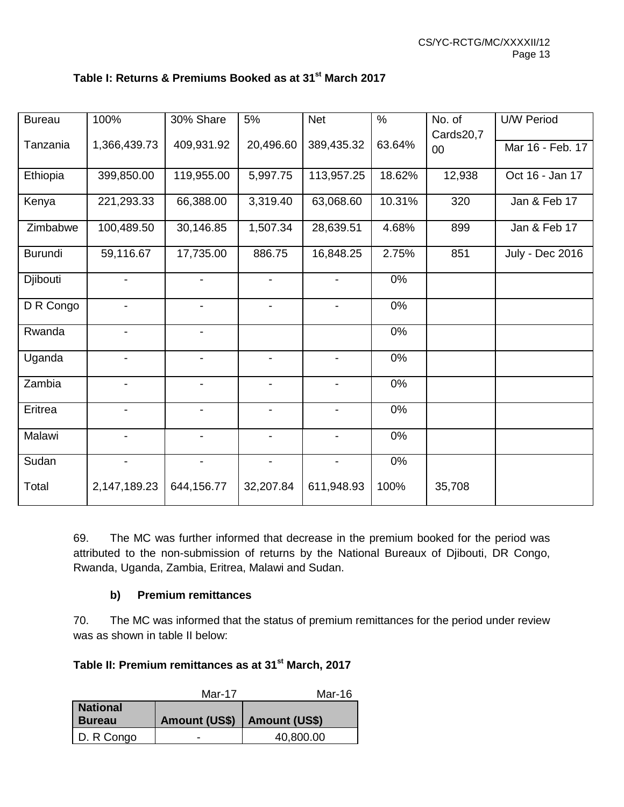| Table I: Returns & Premiums Booked as at 31 <sup>st</sup> March 2017 |  |  |
|----------------------------------------------------------------------|--|--|
|----------------------------------------------------------------------|--|--|

| <b>Bureau</b> | 100%                     | 30% Share                | 5%                       | Net                      | $\frac{9}{6}$ | No. of          | <b>U/W Period</b>      |
|---------------|--------------------------|--------------------------|--------------------------|--------------------------|---------------|-----------------|------------------------|
| Tanzania      | 1,366,439.73             | 409,931.92               | 20,496.60                | 389,435.32               | 63.64%        | Cards20,7<br>00 | Mar 16 - Feb. 17       |
| Ethiopia      | 399,850.00               | 119,955.00               | 5,997.75                 | 113,957.25               | 18.62%        | 12,938          | Oct 16 - Jan 17        |
| Kenya         | 221,293.33               | 66,388.00                | 3,319.40                 | 63,068.60                | 10.31%        | 320             | Jan & Feb 17           |
| Zimbabwe      | 100,489.50               | 30,146.85                | 1,507.34                 | 28,639.51                | 4.68%         | 899             | Jan & Feb 17           |
| Burundi       | 59,116.67                | 17,735.00                | 886.75                   | 16,848.25                | 2.75%         | 851             | <b>July - Dec 2016</b> |
| Djibouti      |                          |                          |                          |                          | 0%            |                 |                        |
| D R Congo     |                          |                          |                          |                          | 0%            |                 |                        |
| Rwanda        |                          |                          |                          |                          | 0%            |                 |                        |
| Uganda        |                          |                          | $\overline{\phantom{a}}$ | $\overline{\phantom{a}}$ | 0%            |                 |                        |
| Zambia        |                          |                          | $\overline{\phantom{a}}$ | $\overline{\phantom{a}}$ | 0%            |                 |                        |
| Eritrea       |                          | $\overline{\phantom{0}}$ | $\blacksquare$           | $\blacksquare$           | 0%            |                 |                        |
| Malawi        | $\overline{\phantom{a}}$ | $\blacksquare$           | $\blacksquare$           | $\overline{\phantom{a}}$ | 0%            |                 |                        |
| Sudan         | $\overline{\phantom{a}}$ | $\overline{\phantom{a}}$ | $\blacksquare$           | $\overline{\phantom{a}}$ | 0%            |                 |                        |
| Total         | 2,147,189.23             | 644,156.77               | 32,207.84                | 611,948.93               | 100%          | 35,708          |                        |

69. The MC was further informed that decrease in the premium booked for the period was attributed to the non-submission of returns by the National Bureaux of Djibouti, DR Congo, Rwanda, Uganda, Zambia, Eritrea, Malawi and Sudan.

### **b) Premium remittances**

70. The MC was informed that the status of premium remittances for the period under review was as shown in table II below:

# **Table II: Premium remittances as at 31st March, 2017**

|                 | Mar-17               | Mar-16               |
|-----------------|----------------------|----------------------|
| <b>National</b> |                      |                      |
| <b>Bureau</b>   | <b>Amount (US\$)</b> | <b>Amount (US\$)</b> |
| D. R Congo      |                      | 40,800.00            |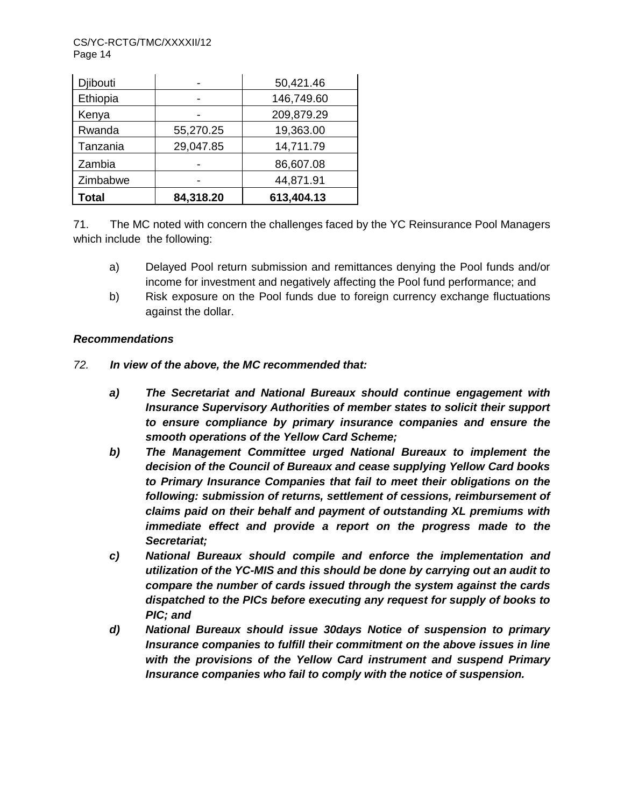| Djibouti     |           | 50,421.46  |
|--------------|-----------|------------|
| Ethiopia     |           | 146,749.60 |
| Kenya        |           | 209,879.29 |
| Rwanda       | 55,270.25 | 19,363.00  |
| Tanzania     | 29,047.85 | 14,711.79  |
| Zambia       |           | 86,607.08  |
| Zimbabwe     |           | 44,871.91  |
| <b>Total</b> | 84,318.20 | 613,404.13 |

71. The MC noted with concern the challenges faced by the YC Reinsurance Pool Managers which include the following:

- a) Delayed Pool return submission and remittances denying the Pool funds and/or income for investment and negatively affecting the Pool fund performance; and
- b) Risk exposure on the Pool funds due to foreign currency exchange fluctuations against the dollar.

### *Recommendations*

- *72. In view of the above, the MC recommended that:*
	- *a) The Secretariat and National Bureaux should continue engagement with Insurance Supervisory Authorities of member states to solicit their support to ensure compliance by primary insurance companies and ensure the smooth operations of the Yellow Card Scheme;*
	- *b) The Management Committee urged National Bureaux to implement the decision of the Council of Bureaux and cease supplying Yellow Card books to Primary Insurance Companies that fail to meet their obligations on the following: submission of returns, settlement of cessions, reimbursement of claims paid on their behalf and payment of outstanding XL premiums with immediate effect and provide a report on the progress made to the Secretariat;*
	- *c) National Bureaux should compile and enforce the implementation and utilization of the YC-MIS and this should be done by carrying out an audit to compare the number of cards issued through the system against the cards dispatched to the PICs before executing any request for supply of books to PIC; and*
	- *d) National Bureaux should issue 30days Notice of suspension to primary Insurance companies to fulfill their commitment on the above issues in line with the provisions of the Yellow Card instrument and suspend Primary Insurance companies who fail to comply with the notice of suspension.*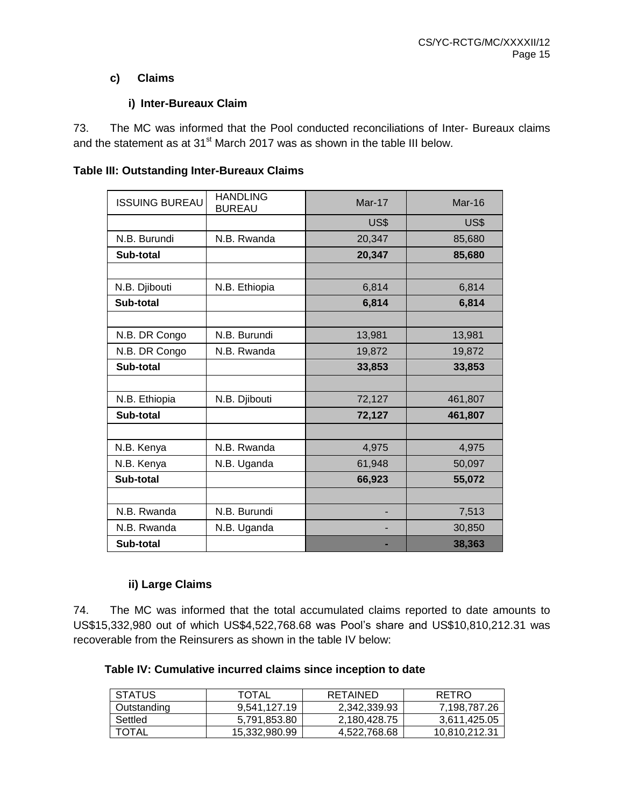### **c) Claims**

### **i) Inter-Bureaux Claim**

73. The MC was informed that the Pool conducted reconciliations of Inter- Bureaux claims and the statement as at 31<sup>st</sup> March 2017 was as shown in the table III below.

|  |  | Table III: Outstanding Inter-Bureaux Claims |  |
|--|--|---------------------------------------------|--|
|--|--|---------------------------------------------|--|

| <b>ISSUING BUREAU</b> | <b>HANDLING</b><br><b>BUREAU</b> | <b>Mar-17</b> | Mar-16  |
|-----------------------|----------------------------------|---------------|---------|
|                       |                                  | US\$          | US\$    |
| N.B. Burundi          | N.B. Rwanda                      | 20,347        | 85,680  |
| Sub-total             |                                  | 20,347        | 85,680  |
|                       |                                  |               |         |
| N.B. Djibouti         | N.B. Ethiopia                    | 6,814         | 6,814   |
| Sub-total             |                                  | 6,814         | 6,814   |
|                       |                                  |               |         |
| N.B. DR Congo         | N.B. Burundi                     | 13,981        | 13,981  |
| N.B. DR Congo         | N.B. Rwanda                      | 19,872        | 19,872  |
| Sub-total             |                                  | 33,853        | 33,853  |
|                       |                                  |               |         |
| N.B. Ethiopia         | N.B. Djibouti                    | 72,127        | 461,807 |
| Sub-total             |                                  | 72,127        | 461,807 |
|                       |                                  |               |         |
| N.B. Kenya            | N.B. Rwanda                      | 4,975         | 4,975   |
| N.B. Kenya            | N.B. Uganda                      | 61,948        | 50,097  |
| Sub-total             |                                  | 66,923        | 55,072  |
|                       |                                  |               |         |
| N.B. Rwanda           | N.B. Burundi                     | -             | 7,513   |
| N.B. Rwanda           | N.B. Uganda                      |               | 30,850  |
| Sub-total             |                                  |               | 38,363  |

# **ii) Large Claims**

74. The MC was informed that the total accumulated claims reported to date amounts to US\$15,332,980 out of which US\$4,522,768.68 was Pool's share and US\$10,810,212.31 was recoverable from the Reinsurers as shown in the table IV below:

| <b>STATUS</b> | TOTAL         | <b>RETAINED</b> | <b>RETRO</b>  |
|---------------|---------------|-----------------|---------------|
| Outstanding   | 9.541.127.19  | 2,342,339.93    | 7.198.787.26  |
| Settled       | 5.791.853.80  | 2,180,428.75    | 3,611,425.05  |
| TOTAL         | 15,332,980.99 | 4,522,768.68    | 10,810,212.31 |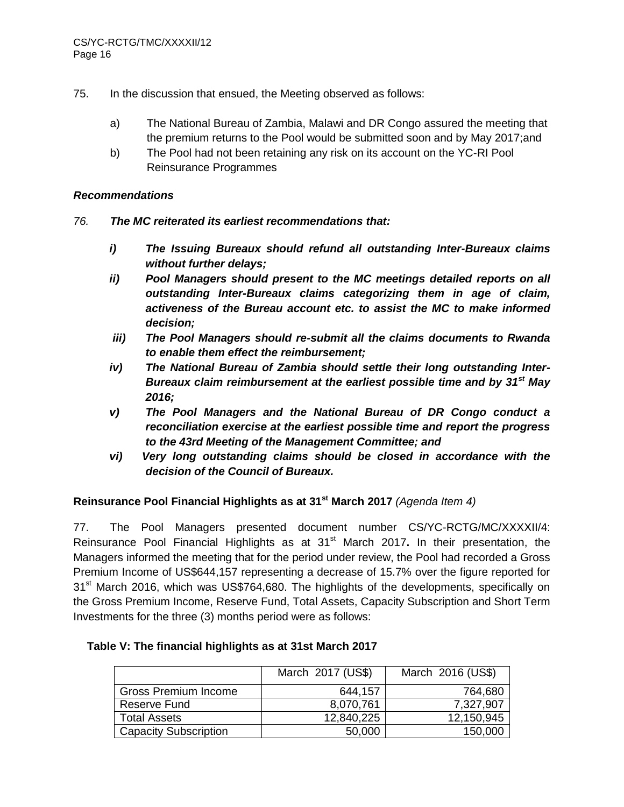- 75. In the discussion that ensued, the Meeting observed as follows:
	- a) The National Bureau of Zambia, Malawi and DR Congo assured the meeting that the premium returns to the Pool would be submitted soon and by May 2017;and
	- b) The Pool had not been retaining any risk on its account on the YC-RI Pool Reinsurance Programmes

#### *Recommendations*

- *76. The MC reiterated its earliest recommendations that:*
	- *i) The Issuing Bureaux should refund all outstanding Inter-Bureaux claims without further delays;*
	- *ii) Pool Managers should present to the MC meetings detailed reports on all outstanding Inter-Bureaux claims categorizing them in age of claim, activeness of the Bureau account etc. to assist the MC to make informed decision;*
	- *iii) The Pool Managers should re-submit all the claims documents to Rwanda to enable them effect the reimbursement;*
	- *iv) The National Bureau of Zambia should settle their long outstanding Inter-Bureaux claim reimbursement at the earliest possible time and by 31st May 2016;*
	- *v) The Pool Managers and the National Bureau of DR Congo conduct a reconciliation exercise at the earliest possible time and report the progress to the 43rd Meeting of the Management Committee; and*
	- *vi) Very long outstanding claims should be closed in accordance with the decision of the Council of Bureaux.*

### **Reinsurance Pool Financial Highlights as at 31st March 2017** *(Agenda Item 4)*

77. The Pool Managers presented document number CS/YC-RCTG/MC/XXXXII/4: Reinsurance Pool Financial Highlights as at 31st March 2017**.** In their presentation, the Managers informed the meeting that for the period under review, the Pool had recorded a Gross Premium Income of US\$644,157 representing a decrease of 15.7% over the figure reported for 31<sup>st</sup> March 2016, which was US\$764,680. The highlights of the developments, specifically on the Gross Premium Income, Reserve Fund, Total Assets, Capacity Subscription and Short Term Investments for the three (3) months period were as follows:

| Table V: The financial highlights as at 31st March 2017 |
|---------------------------------------------------------|
|---------------------------------------------------------|

|                              | March 2017 (US\$) | March 2016 (US\$) |
|------------------------------|-------------------|-------------------|
| <b>Gross Premium Income</b>  | 644,157           | 764,680           |
| Reserve Fund                 | 8,070,761         | 7,327,907         |
| <b>Total Assets</b>          | 12,840,225        | 12,150,945        |
| <b>Capacity Subscription</b> | 50,000            | 150,000           |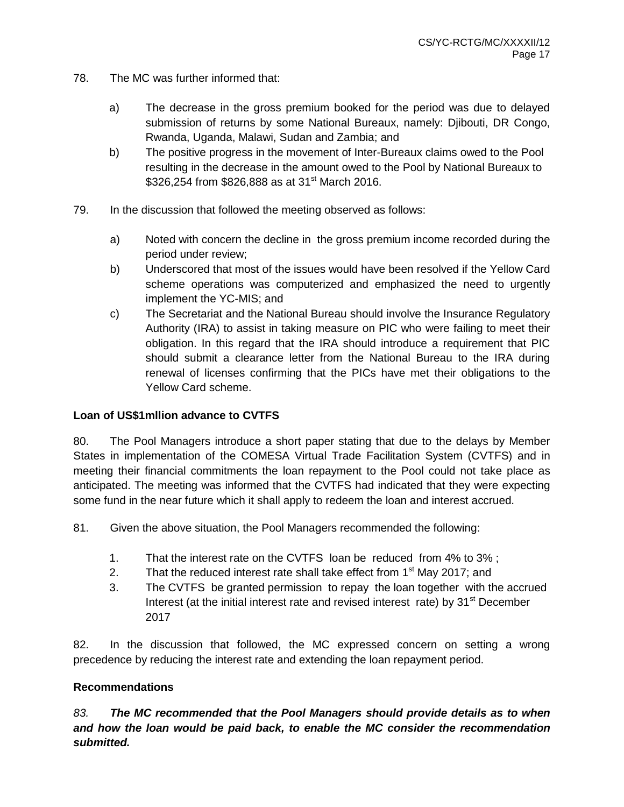- 78. The MC was further informed that:
	- a) The decrease in the gross premium booked for the period was due to delayed submission of returns by some National Bureaux, namely: Djibouti, DR Congo, Rwanda, Uganda, Malawi, Sudan and Zambia; and
	- b) The positive progress in the movement of Inter-Bureaux claims owed to the Pool resulting in the decrease in the amount owed to the Pool by National Bureaux to \$326,254 from \$826,888 as at 31<sup>st</sup> March 2016.
- 79. In the discussion that followed the meeting observed as follows:
	- a) Noted with concern the decline in the gross premium income recorded during the period under review;
	- b) Underscored that most of the issues would have been resolved if the Yellow Card scheme operations was computerized and emphasized the need to urgently implement the YC-MIS; and
	- c) The Secretariat and the National Bureau should involve the Insurance Regulatory Authority (IRA) to assist in taking measure on PIC who were failing to meet their obligation. In this regard that the IRA should introduce a requirement that PIC should submit a clearance letter from the National Bureau to the IRA during renewal of licenses confirming that the PICs have met their obligations to the Yellow Card scheme.

# **Loan of US\$1mllion advance to CVTFS**

80. The Pool Managers introduce a short paper stating that due to the delays by Member States in implementation of the COMESA Virtual Trade Facilitation System (CVTFS) and in meeting their financial commitments the loan repayment to the Pool could not take place as anticipated. The meeting was informed that the CVTFS had indicated that they were expecting some fund in the near future which it shall apply to redeem the loan and interest accrued.

81. Given the above situation, the Pool Managers recommended the following:

- 1. That the interest rate on the CVTFS loan be reduced from 4% to 3% ;
- 2. That the reduced interest rate shall take effect from  $1<sup>st</sup>$  May 2017; and
- 3. The CVTFS be granted permission to repay the loan together with the accrued Interest (at the initial interest rate and revised interest rate) by  $31<sup>st</sup>$  December 2017

82. In the discussion that followed, the MC expressed concern on setting a wrong precedence by reducing the interest rate and extending the loan repayment period.

### **Recommendations**

*83. The MC recommended that the Pool Managers should provide details as to when and how the loan would be paid back, to enable the MC consider the recommendation submitted.*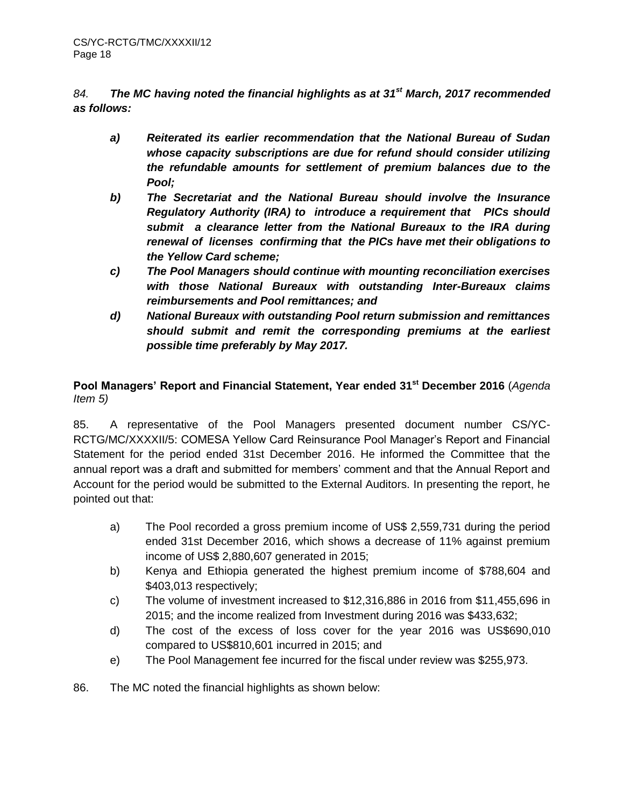*84. The MC having noted the financial highlights as at 31st March, 2017 recommended as follows:*

- *a) Reiterated its earlier recommendation that the National Bureau of Sudan whose capacity subscriptions are due for refund should consider utilizing the refundable amounts for settlement of premium balances due to the Pool;*
- *b) The Secretariat and the National Bureau should involve the Insurance Regulatory Authority (IRA) to introduce a requirement that PICs should submit a clearance letter from the National Bureaux to the IRA during renewal of licenses confirming that the PICs have met their obligations to the Yellow Card scheme;*
- *c) The Pool Managers should continue with mounting reconciliation exercises with those National Bureaux with outstanding Inter-Bureaux claims reimbursements and Pool remittances; and*
- *d) National Bureaux with outstanding Pool return submission and remittances should submit and remit the corresponding premiums at the earliest possible time preferably by May 2017.*

# **Pool Managers' Report and Financial Statement, Year ended 31st December 2016** (*Agenda Item 5)*

85. A representative of the Pool Managers presented document number CS/YC-RCTG/MC/XXXXII/5: COMESA Yellow Card Reinsurance Pool Manager's Report and Financial Statement for the period ended 31st December 2016. He informed the Committee that the annual report was a draft and submitted for members' comment and that the Annual Report and Account for the period would be submitted to the External Auditors. In presenting the report, he pointed out that:

- a) The Pool recorded a gross premium income of US\$ 2,559,731 during the period ended 31st December 2016, which shows a decrease of 11% against premium income of US\$ 2,880,607 generated in 2015;
- b) Kenya and Ethiopia generated the highest premium income of \$788,604 and \$403,013 respectively;
- c) The volume of investment increased to \$12,316,886 in 2016 from \$11,455,696 in 2015; and the income realized from Investment during 2016 was \$433,632;
- d) The cost of the excess of loss cover for the year 2016 was US\$690,010 compared to US\$810,601 incurred in 2015; and
- e) The Pool Management fee incurred for the fiscal under review was \$255,973.

86. The MC noted the financial highlights as shown below: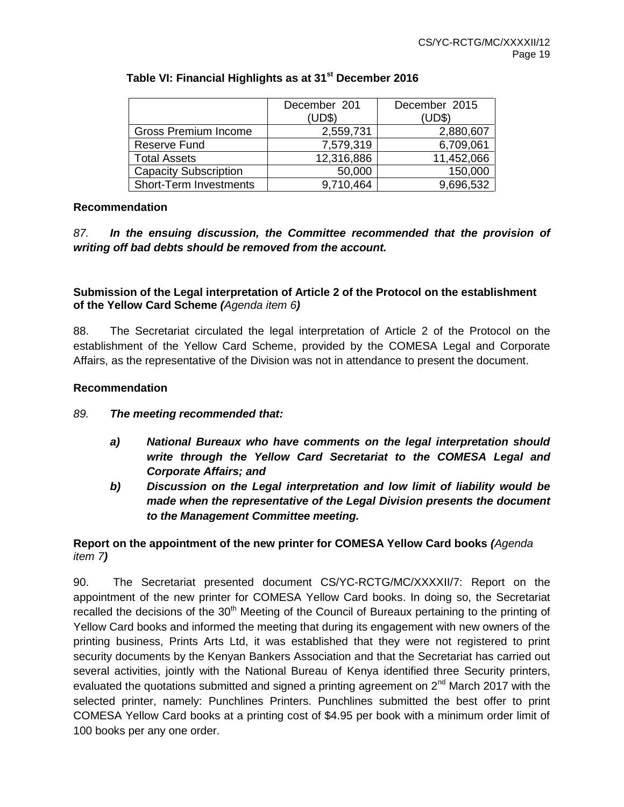|                               | December 201<br>(UD\$) | December 2015<br>(UD\$) |
|-------------------------------|------------------------|-------------------------|
| <b>Gross Premium Income</b>   | 2,559,731              | 2,880,607               |
| Reserve Fund                  | 7,579,319              | 6,709,061               |
| <b>Total Assets</b>           | 12,316,886             | 11,452,066              |
| <b>Capacity Subscription</b>  | 50,000                 | 150,000                 |
| <b>Short-Term Investments</b> | 9,710,464              | 9,696,532               |

### **Table VI: Financial Highlights as at 31st December 2016**

#### **Recommendation**

### *87. In the ensuing discussion, the Committee recommended that the provision of writing off bad debts should be removed from the account.*

### **Submission of the Legal interpretation of Article 2 of the Protocol on the establishment of the Yellow Card Scheme** *(Agenda item 6)*

88. The Secretariat circulated the legal interpretation of Article 2 of the Protocol on the establishment of the Yellow Card Scheme, provided by the COMESA Legal and Corporate Affairs, as the representative of the Division was not in attendance to present the document.

#### **Recommendation**

### *89. The meeting recommended that:*

- *a) National Bureaux who have comments on the legal interpretation should write through the Yellow Card Secretariat to the COMESA Legal and Corporate Affairs; and*
- *b) Discussion on the Legal interpretation and low limit of liability would be made when the representative of the Legal Division presents the document to the Management Committee meeting.*

### **Report on the appointment of the new printer for COMESA Yellow Card books** *(Agenda item 7)*

90. The Secretariat presented document CS/YC-RCTG/MC/XXXXII/7: Report on the appointment of the new printer for COMESA Yellow Card books. In doing so, the Secretariat recalled the decisions of the 30<sup>th</sup> Meeting of the Council of Bureaux pertaining to the printing of Yellow Card books and informed the meeting that during its engagement with new owners of the printing business, Prints Arts Ltd, it was established that they were not registered to print security documents by the Kenyan Bankers Association and that the Secretariat has carried out several activities, jointly with the National Bureau of Kenya identified three Security printers, evaluated the quotations submitted and signed a printing agreement on  $2^{nd}$  March 2017 with the selected printer, namely: Punchlines Printers. Punchlines submitted the best offer to print COMESA Yellow Card books at a printing cost of \$4.95 per book with a minimum order limit of 100 books per any one order.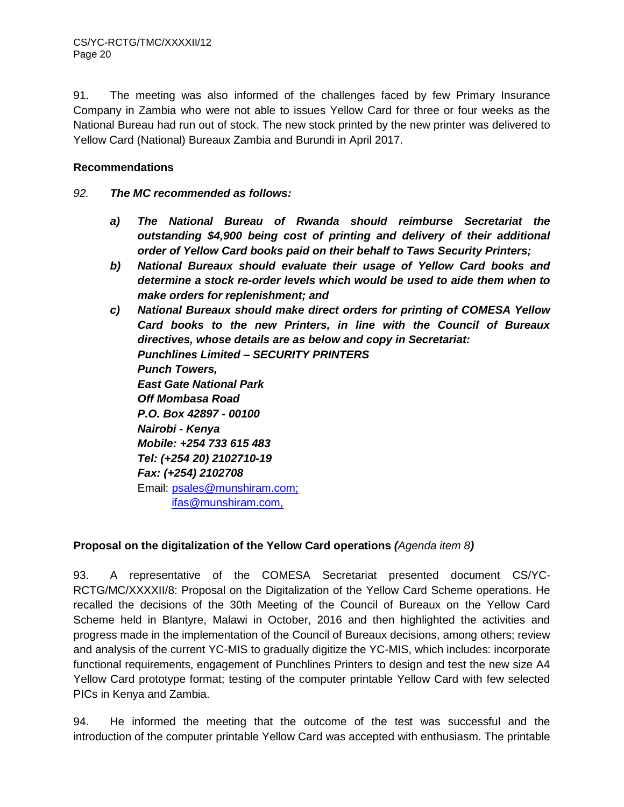91. The meeting was also informed of the challenges faced by few Primary Insurance Company in Zambia who were not able to issues Yellow Card for three or four weeks as the National Bureau had run out of stock. The new stock printed by the new printer was delivered to Yellow Card (National) Bureaux Zambia and Burundi in April 2017.

### **Recommendations**

### *92. The MC recommended as follows:*

- *a) The National Bureau of Rwanda should reimburse Secretariat the outstanding \$4,900 being cost of printing and delivery of their additional order of Yellow Card books paid on their behalf to Taws Security Printers;*
- *b) National Bureaux should evaluate their usage of Yellow Card books and determine a stock re-order levels which would be used to aide them when to make orders for replenishment; and*

*c) National Bureaux should make direct orders for printing of COMESA Yellow Card books to the new Printers, in line with the Council of Bureaux directives, whose details are as below and copy in Secretariat: Punchlines Limited – SECURITY PRINTERS Punch Towers, East Gate National Park Off Mombasa Road P.O. Box 42897 - 00100 Nairobi - Kenya Mobile: +254 733 615 483 Tel: (+254 20) 2102710-19 Fax: (+254) 2102708*  Email: [psales@munshiram.com;](mailto:psales@munshiram.com) ifas@munshiram.com,

# **Proposal on the digitalization of the Yellow Card operations** *(Agenda item 8)*

93. A representative of the COMESA Secretariat presented document CS/YC-RCTG/MC/XXXXII/8: Proposal on the Digitalization of the Yellow Card Scheme operations. He recalled the decisions of the 30th Meeting of the Council of Bureaux on the Yellow Card Scheme held in Blantyre, Malawi in October, 2016 and then highlighted the activities and progress made in the implementation of the Council of Bureaux decisions, among others; review and analysis of the current YC-MIS to gradually digitize the YC-MIS, which includes: incorporate functional requirements, engagement of Punchlines Printers to design and test the new size A4 Yellow Card prototype format; testing of the computer printable Yellow Card with few selected PICs in Kenya and Zambia.

94. He informed the meeting that the outcome of the test was successful and the introduction of the computer printable Yellow Card was accepted with enthusiasm. The printable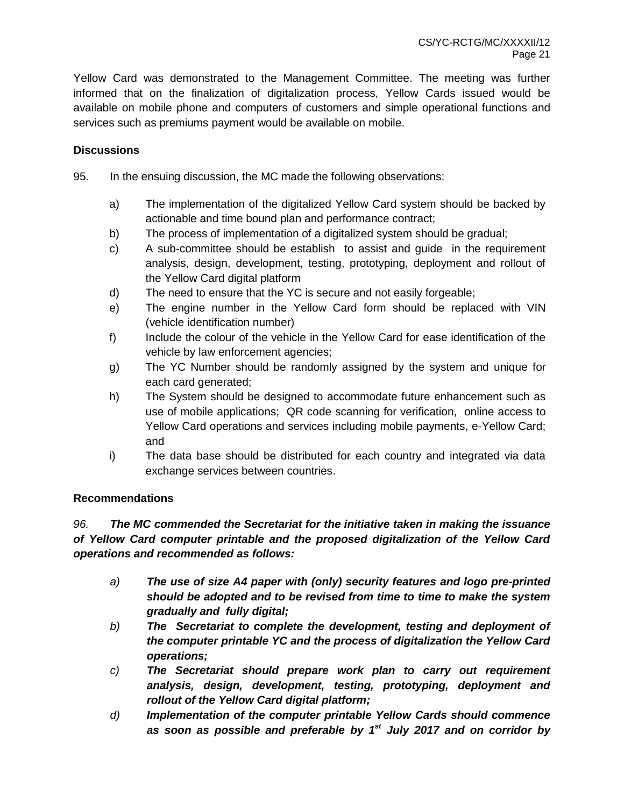Yellow Card was demonstrated to the Management Committee. The meeting was further informed that on the finalization of digitalization process, Yellow Cards issued would be available on mobile phone and computers of customers and simple operational functions and services such as premiums payment would be available on mobile.

### **Discussions**

- 95. In the ensuing discussion, the MC made the following observations:
	- a) The implementation of the digitalized Yellow Card system should be backed by actionable and time bound plan and performance contract;
	- b) The process of implementation of a digitalized system should be gradual;
	- c) A sub-committee should be establish to assist and guide in the requirement analysis, design, development, testing, prototyping, deployment and rollout of the Yellow Card digital platform
	- d) The need to ensure that the YC is secure and not easily forgeable;
	- e) The engine number in the Yellow Card form should be replaced with VIN (vehicle identification number)
	- f) Include the colour of the vehicle in the Yellow Card for ease identification of the vehicle by law enforcement agencies;
	- g) The YC Number should be randomly assigned by the system and unique for each card generated;
	- h) The System should be designed to accommodate future enhancement such as use of mobile applications; QR code scanning for verification, online access to Yellow Card operations and services including mobile payments, e-Yellow Card; and
	- i) The data base should be distributed for each country and integrated via data exchange services between countries.

### **Recommendations**

# *96. The MC commended the Secretariat for the initiative taken in making the issuance of Yellow Card computer printable and the proposed digitalization of the Yellow Card operations and recommended as follows:*

- *a) The use of size A4 paper with (only) security features and logo pre-printed should be adopted and to be revised from time to time to make the system gradually and fully digital;*
- *b) The Secretariat to complete the development, testing and deployment of the computer printable YC and the process of digitalization the Yellow Card operations;*
- *c) The Secretariat should prepare work plan to carry out requirement analysis, design, development, testing, prototyping, deployment and rollout of the Yellow Card digital platform;*
- *d) Implementation of the computer printable Yellow Cards should commence as soon as possible and preferable by 1st July 2017 and on corridor by*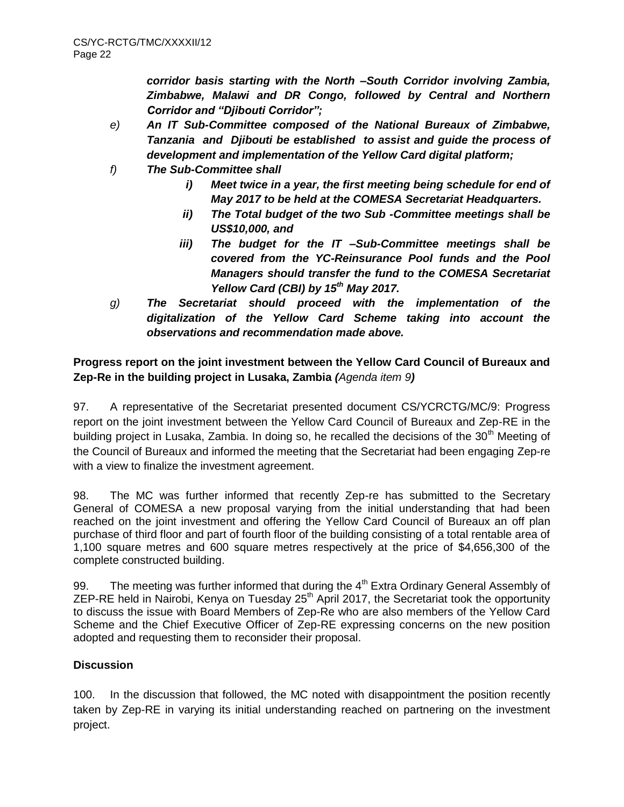*corridor basis starting with the North –South Corridor involving Zambia, Zimbabwe, Malawi and DR Congo, followed by Central and Northern Corridor and "Djibouti Corridor";* 

- *e) An IT Sub-Committee composed of the National Bureaux of Zimbabwe, Tanzania and Djibouti be established to assist and guide the process of development and implementation of the Yellow Card digital platform;*
- *f) The Sub-Committee shall* 
	- *i) Meet twice in a year, the first meeting being schedule for end of May 2017 to be held at the COMESA Secretariat Headquarters.*
	- *ii) The Total budget of the two Sub -Committee meetings shall be US\$10,000, and*
	- *iii) The budget for the IT –Sub-Committee meetings shall be covered from the YC-Reinsurance Pool funds and the Pool Managers should transfer the fund to the COMESA Secretariat Yellow Card (CBI) by 15th May 2017.*
- *g) The Secretariat should proceed with the implementation of the digitalization of the Yellow Card Scheme taking into account the observations and recommendation made above.*

# **Progress report on the joint investment between the Yellow Card Council of Bureaux and Zep-Re in the building project in Lusaka, Zambia** *(Agenda item 9)*

97. A representative of the Secretariat presented document CS/YCRCTG/MC/9: Progress report on the joint investment between the Yellow Card Council of Bureaux and Zep-RE in the building project in Lusaka, Zambia. In doing so, he recalled the decisions of the  $30<sup>th</sup>$  Meeting of the Council of Bureaux and informed the meeting that the Secretariat had been engaging Zep-re with a view to finalize the investment agreement.

98. The MC was further informed that recently Zep-re has submitted to the Secretary General of COMESA a new proposal varying from the initial understanding that had been reached on the joint investment and offering the Yellow Card Council of Bureaux an off plan purchase of third floor and part of fourth floor of the building consisting of a total rentable area of 1,100 square metres and 600 square metres respectively at the price of \$4,656,300 of the complete constructed building.

99. The meeting was further informed that during the  $4<sup>th</sup>$  Extra Ordinary General Assembly of ZEP-RE held in Nairobi, Kenya on Tuesday  $25<sup>th</sup>$  April 2017, the Secretariat took the opportunity to discuss the issue with Board Members of Zep-Re who are also members of the Yellow Card Scheme and the Chief Executive Officer of Zep-RE expressing concerns on the new position adopted and requesting them to reconsider their proposal.

# **Discussion**

100. In the discussion that followed, the MC noted with disappointment the position recently taken by Zep-RE in varying its initial understanding reached on partnering on the investment project.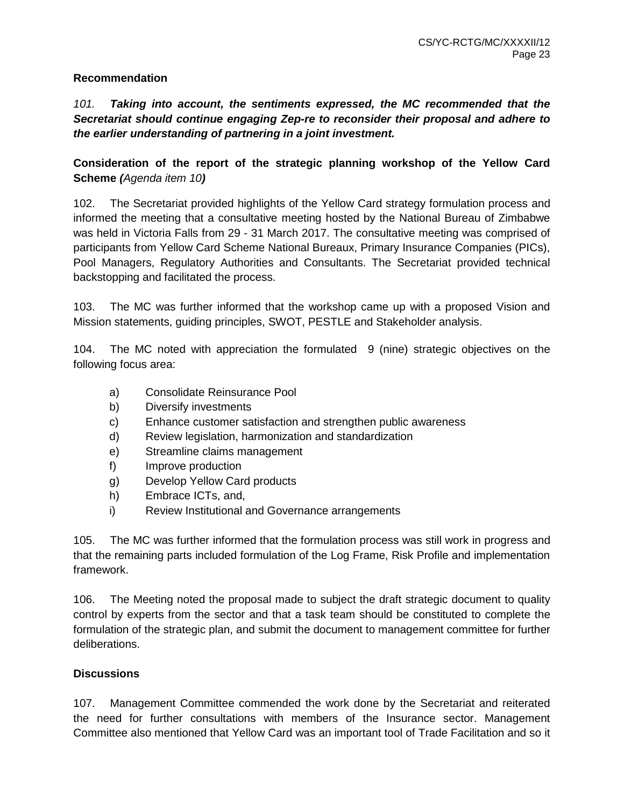### **Recommendation**

*101. Taking into account, the sentiments expressed, the MC recommended that the Secretariat should continue engaging Zep-re to reconsider their proposal and adhere to the earlier understanding of partnering in a joint investment.*

**Consideration of the report of the strategic planning workshop of the Yellow Card Scheme** *(Agenda item 10)*

102. The Secretariat provided highlights of the Yellow Card strategy formulation process and informed the meeting that a consultative meeting hosted by the National Bureau of Zimbabwe was held in Victoria Falls from 29 - 31 March 2017. The consultative meeting was comprised of participants from Yellow Card Scheme National Bureaux, Primary Insurance Companies (PICs), Pool Managers, Regulatory Authorities and Consultants. The Secretariat provided technical backstopping and facilitated the process.

103. The MC was further informed that the workshop came up with a proposed Vision and Mission statements, guiding principles, SWOT, PESTLE and Stakeholder analysis.

104. The MC noted with appreciation the formulated 9 (nine) strategic objectives on the following focus area:

- a) Consolidate Reinsurance Pool
- b) Diversify investments
- c) Enhance customer satisfaction and strengthen public awareness
- d) Review legislation, harmonization and standardization
- e) Streamline claims management
- f) Improve production
- g) Develop Yellow Card products
- h) Embrace ICTs, and,
- i) Review Institutional and Governance arrangements

105. The MC was further informed that the formulation process was still work in progress and that the remaining parts included formulation of the Log Frame, Risk Profile and implementation framework.

106. The Meeting noted the proposal made to subject the draft strategic document to quality control by experts from the sector and that a task team should be constituted to complete the formulation of the strategic plan, and submit the document to management committee for further deliberations.

### **Discussions**

107. Management Committee commended the work done by the Secretariat and reiterated the need for further consultations with members of the Insurance sector. Management Committee also mentioned that Yellow Card was an important tool of Trade Facilitation and so it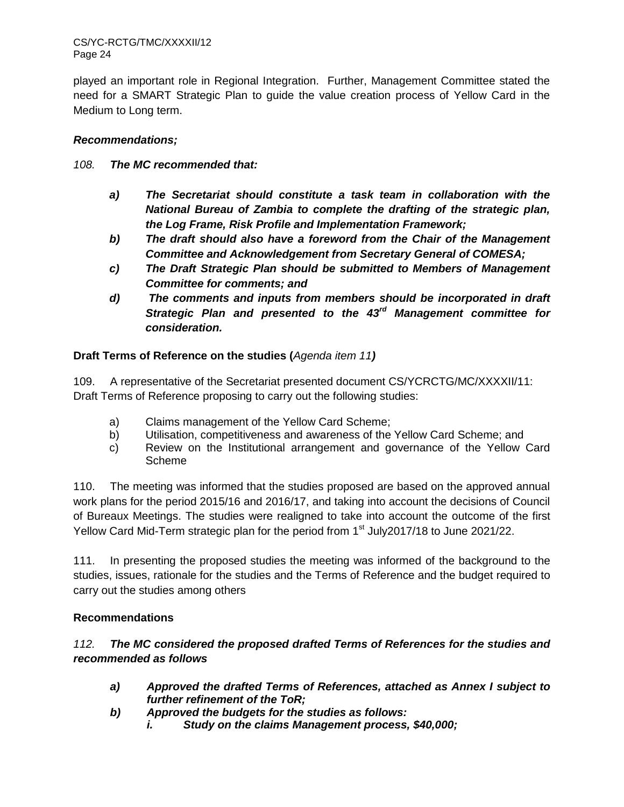played an important role in Regional Integration. Further, Management Committee stated the need for a SMART Strategic Plan to guide the value creation process of Yellow Card in the Medium to Long term.

### *Recommendations;*

- *108. The MC recommended that:*
	- *a) The Secretariat should constitute a task team in collaboration with the National Bureau of Zambia to complete the drafting of the strategic plan, the Log Frame, Risk Profile and Implementation Framework;*
	- *b) The draft should also have a foreword from the Chair of the Management Committee and Acknowledgement from Secretary General of COMESA;*
	- *c) The Draft Strategic Plan should be submitted to Members of Management Committee for comments; and*
	- *d) The comments and inputs from members should be incorporated in draft Strategic Plan and presented to the 43rd Management committee for consideration.*

### **Draft Terms of Reference on the studies (***Agenda item 11)*

109. A representative of the Secretariat presented document CS/YCRCTG/MC/XXXXII/11: Draft Terms of Reference proposing to carry out the following studies:

- a) Claims management of the Yellow Card Scheme;
- b) Utilisation, competitiveness and awareness of the Yellow Card Scheme; and
- c) Review on the Institutional arrangement and governance of the Yellow Card Scheme

110. The meeting was informed that the studies proposed are based on the approved annual work plans for the period 2015/16 and 2016/17, and taking into account the decisions of Council of Bureaux Meetings. The studies were realigned to take into account the outcome of the first Yellow Card Mid-Term strategic plan for the period from 1<sup>st</sup> July2017/18 to June 2021/22.

111. In presenting the proposed studies the meeting was informed of the background to the studies, issues, rationale for the studies and the Terms of Reference and the budget required to carry out the studies among others

# **Recommendations**

*112. The MC considered the proposed drafted Terms of References for the studies and recommended as follows* 

- *a) Approved the drafted Terms of References, attached as Annex I subject to further refinement of the ToR;*
- *b) Approved the budgets for the studies as follows:*
	- *i. Study on the claims Management process, \$40,000;*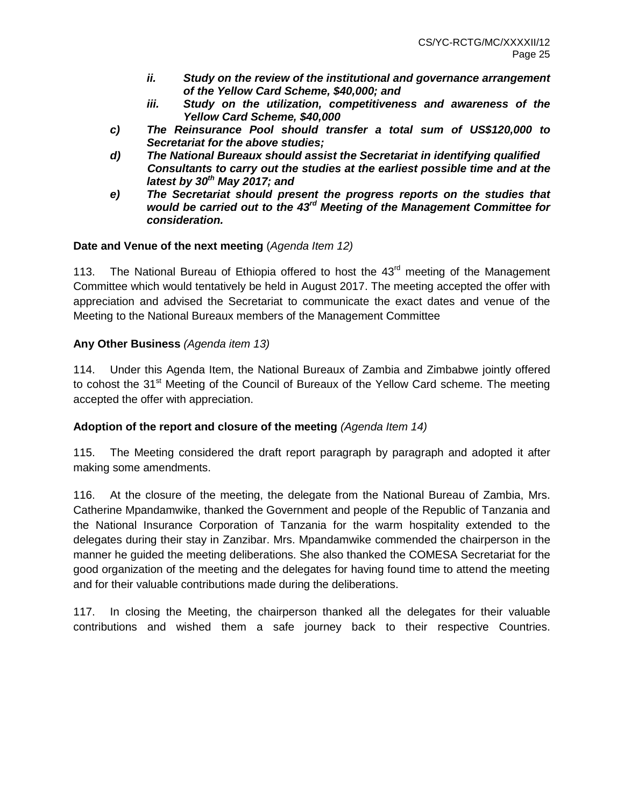- *ii. Study on the review of the institutional and governance arrangement of the Yellow Card Scheme, \$40,000; and*
- *iii. Study on the utilization, competitiveness and awareness of the Yellow Card Scheme, \$40,000*
- *c) The Reinsurance Pool should transfer a total sum of US\$120,000 to Secretariat for the above studies;*
- *d) The National Bureaux should assist the Secretariat in identifying qualified Consultants to carry out the studies at the earliest possible time and at the latest by 30th May 2017; and*
- *e) The Secretariat should present the progress reports on the studies that would be carried out to the 43rd Meeting of the Management Committee for consideration.*

### **Date and Venue of the next meeting** (*Agenda Item 12)*

113. The National Bureau of Ethiopia offered to host the 43<sup>rd</sup> meeting of the Management Committee which would tentatively be held in August 2017. The meeting accepted the offer with appreciation and advised the Secretariat to communicate the exact dates and venue of the Meeting to the National Bureaux members of the Management Committee

### **Any Other Business** *(Agenda item 13)*

114. Under this Agenda Item, the National Bureaux of Zambia and Zimbabwe jointly offered to cohost the 31<sup>st</sup> Meeting of the Council of Bureaux of the Yellow Card scheme. The meeting accepted the offer with appreciation.

### **Adoption of the report and closure of the meeting** *(Agenda Item 14)*

115. The Meeting considered the draft report paragraph by paragraph and adopted it after making some amendments.

116. At the closure of the meeting, the delegate from the National Bureau of Zambia, Mrs. Catherine Mpandamwike, thanked the Government and people of the Republic of Tanzania and the National Insurance Corporation of Tanzania for the warm hospitality extended to the delegates during their stay in Zanzibar. Mrs. Mpandamwike commended the chairperson in the manner he guided the meeting deliberations. She also thanked the COMESA Secretariat for the good organization of the meeting and the delegates for having found time to attend the meeting and for their valuable contributions made during the deliberations.

117. In closing the Meeting, the chairperson thanked all the delegates for their valuable contributions and wished them a safe journey back to their respective Countries.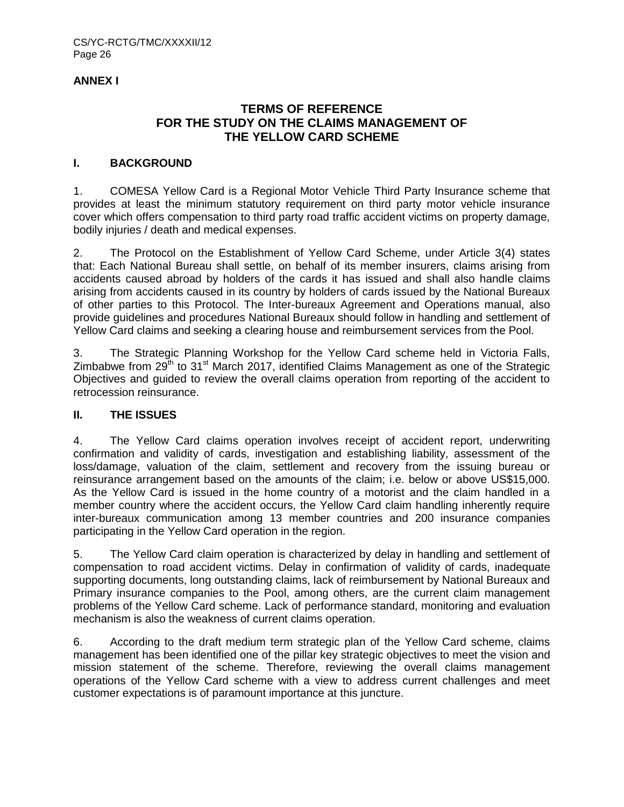### **ANNEX I**

# **TERMS OF REFERENCE FOR THE STUDY ON THE CLAIMS MANAGEMENT OF THE YELLOW CARD SCHEME**

#### **I. BACKGROUND**

1. COMESA Yellow Card is a Regional Motor Vehicle Third Party Insurance scheme that provides at least the minimum statutory requirement on third party motor vehicle insurance cover which offers compensation to third party road traffic accident victims on property damage, bodily injuries / death and medical expenses.

2. The Protocol on the Establishment of Yellow Card Scheme, under Article 3(4) states that: Each National Bureau shall settle, on behalf of its member insurers, claims arising from accidents caused abroad by holders of the cards it has issued and shall also handle claims arising from accidents caused in its country by holders of cards issued by the National Bureaux of other parties to this Protocol. The Inter-bureaux Agreement and Operations manual, also provide guidelines and procedures National Bureaux should follow in handling and settlement of Yellow Card claims and seeking a clearing house and reimbursement services from the Pool.

3. The Strategic Planning Workshop for the Yellow Card scheme held in Victoria Falls, Zimbabwe from  $29<sup>th</sup>$  to 31<sup>st</sup> March 2017, identified Claims Management as one of the Strategic Objectives and guided to review the overall claims operation from reporting of the accident to retrocession reinsurance.

#### **II. THE ISSUES**

4. The Yellow Card claims operation involves receipt of accident report, underwriting confirmation and validity of cards, investigation and establishing liability, assessment of the loss/damage, valuation of the claim, settlement and recovery from the issuing bureau or reinsurance arrangement based on the amounts of the claim; i.e. below or above US\$15,000. As the Yellow Card is issued in the home country of a motorist and the claim handled in a member country where the accident occurs, the Yellow Card claim handling inherently require inter-bureaux communication among 13 member countries and 200 insurance companies participating in the Yellow Card operation in the region.

5. The Yellow Card claim operation is characterized by delay in handling and settlement of compensation to road accident victims. Delay in confirmation of validity of cards, inadequate supporting documents, long outstanding claims, lack of reimbursement by National Bureaux and Primary insurance companies to the Pool, among others, are the current claim management problems of the Yellow Card scheme. Lack of performance standard, monitoring and evaluation mechanism is also the weakness of current claims operation.

6. According to the draft medium term strategic plan of the Yellow Card scheme, claims management has been identified one of the pillar key strategic objectives to meet the vision and mission statement of the scheme. Therefore, reviewing the overall claims management operations of the Yellow Card scheme with a view to address current challenges and meet customer expectations is of paramount importance at this juncture.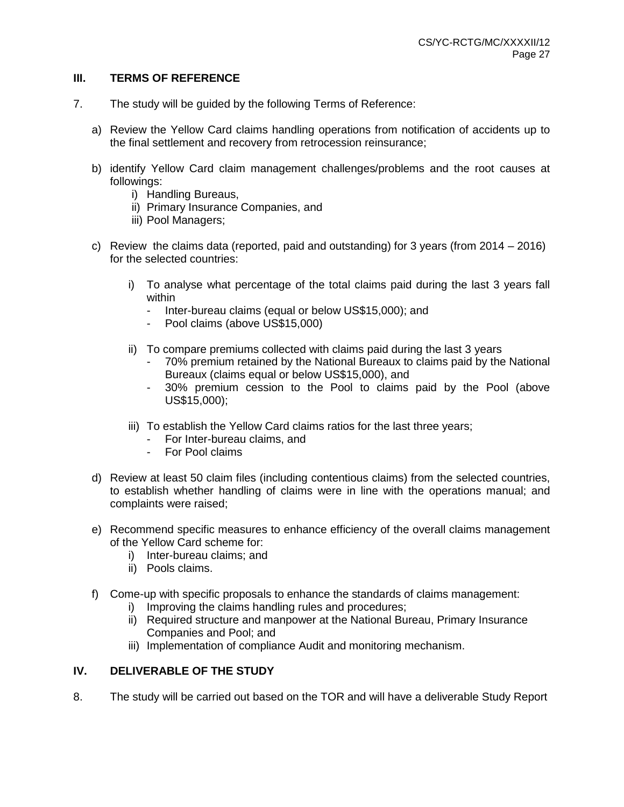#### **III. TERMS OF REFERENCE**

- 7. The study will be guided by the following Terms of Reference:
	- a) Review the Yellow Card claims handling operations from notification of accidents up to the final settlement and recovery from retrocession reinsurance;
	- b) identify Yellow Card claim management challenges/problems and the root causes at followings:
		- i) Handling Bureaus,
		- ii) Primary Insurance Companies, and
		- iii) Pool Managers;
	- c) Review the claims data (reported, paid and outstanding) for 3 years (from 2014 2016) for the selected countries:
		- i) To analyse what percentage of the total claims paid during the last 3 years fall within
			- Inter-bureau claims (equal or below US\$15,000); and
			- Pool claims (above US\$15,000)
		- ii) To compare premiums collected with claims paid during the last 3 years
			- 70% premium retained by the National Bureaux to claims paid by the National Bureaux (claims equal or below US\$15,000), and
			- 30% premium cession to the Pool to claims paid by the Pool (above US\$15,000);
		- iii) To establish the Yellow Card claims ratios for the last three years;
			- For Inter-bureau claims, and
			- For Pool claims
	- d) Review at least 50 claim files (including contentious claims) from the selected countries, to establish whether handling of claims were in line with the operations manual; and complaints were raised;
	- e) Recommend specific measures to enhance efficiency of the overall claims management of the Yellow Card scheme for:
		- i) Inter-bureau claims; and
		- ii) Pools claims.
	- f) Come-up with specific proposals to enhance the standards of claims management:
		- i) Improving the claims handling rules and procedures;
		- ii) Required structure and manpower at the National Bureau, Primary Insurance Companies and Pool; and
		- iii) Implementation of compliance Audit and monitoring mechanism.

### **IV. DELIVERABLE OF THE STUDY**

8. The study will be carried out based on the TOR and will have a deliverable Study Report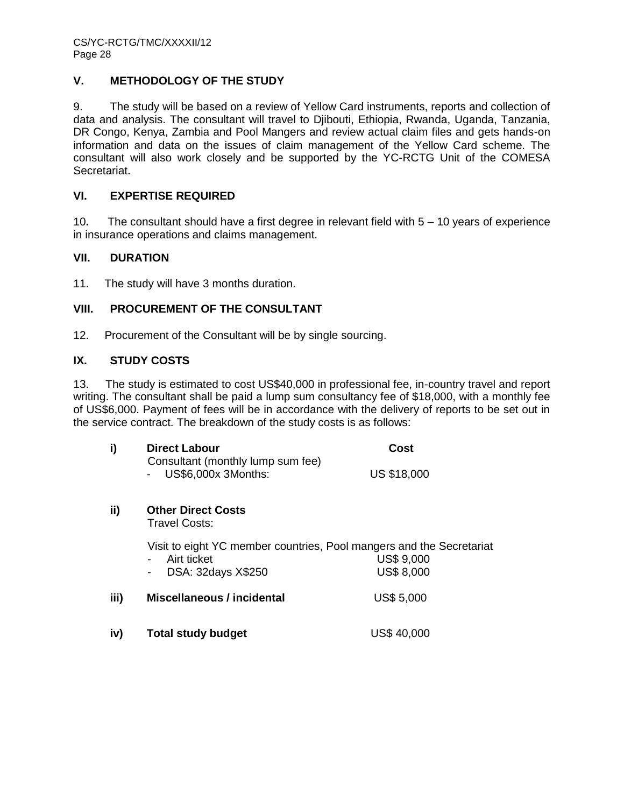### **V. METHODOLOGY OF THE STUDY**

9. The study will be based on a review of Yellow Card instruments, reports and collection of data and analysis. The consultant will travel to Djibouti, Ethiopia, Rwanda, Uganda, Tanzania, DR Congo, Kenya, Zambia and Pool Mangers and review actual claim files and gets hands-on information and data on the issues of claim management of the Yellow Card scheme. The consultant will also work closely and be supported by the YC-RCTG Unit of the COMESA Secretariat.

### **VI. EXPERTISE REQUIRED**

10**.** The consultant should have a first degree in relevant field with 5 – 10 years of experience in insurance operations and claims management.

### **VII. DURATION**

11. The study will have 3 months duration.

#### **VIII. PROCUREMENT OF THE CONSULTANT**

12. Procurement of the Consultant will be by single sourcing.

#### **IX. STUDY COSTS**

13. The study is estimated to cost US\$40,000 in professional fee, in-country travel and report writing. The consultant shall be paid a lump sum consultancy fee of \$18,000, with a monthly fee of US\$6,000. Payment of fees will be in accordance with the delivery of reports to be set out in the service contract. The breakdown of the study costs is as follows:

| <b>Direct Labour</b>              | Cost               |
|-----------------------------------|--------------------|
| Consultant (monthly lump sum fee) |                    |
| - US\$6,000x 3Months:             | <b>US \$18,000</b> |

**ii) Other Direct Costs** 

Travel Costs:

Visit to eight YC member countries, Pool mangers and the Secretariat

|      | Airt ticket<br>$\overline{\phantom{0}}$<br>DSA: 32days X\$250 | <b>US\$ 9,000</b><br><b>US\$ 8,000</b> |
|------|---------------------------------------------------------------|----------------------------------------|
| iii) | Miscellaneous / incidental                                    | <b>US\$ 5,000</b>                      |
| iv)  | <b>Total study budget</b>                                     | US\$ 40,000                            |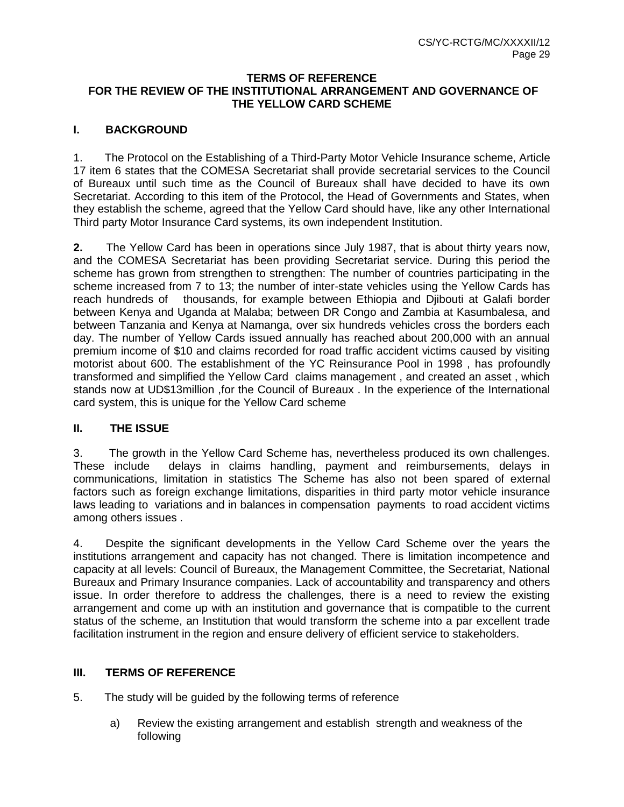#### **TERMS OF REFERENCE FOR THE REVIEW OF THE INSTITUTIONAL ARRANGEMENT AND GOVERNANCE OF THE YELLOW CARD SCHEME**

# **I. BACKGROUND**

1. The Protocol on the Establishing of a Third-Party Motor Vehicle Insurance scheme, Article 17 item 6 states that the COMESA Secretariat shall provide secretarial services to the Council of Bureaux until such time as the Council of Bureaux shall have decided to have its own Secretariat. According to this item of the Protocol, the Head of Governments and States, when they establish the scheme, agreed that the Yellow Card should have, like any other International Third party Motor Insurance Card systems, its own independent Institution.

**2.** The Yellow Card has been in operations since July 1987, that is about thirty years now, and the COMESA Secretariat has been providing Secretariat service. During this period the scheme has grown from strengthen to strengthen: The number of countries participating in the scheme increased from 7 to 13; the number of inter-state vehicles using the Yellow Cards has reach hundreds of thousands, for example between Ethiopia and Djibouti at Galafi border between Kenya and Uganda at Malaba; between DR Congo and Zambia at Kasumbalesa, and between Tanzania and Kenya at Namanga, over six hundreds vehicles cross the borders each day. The number of Yellow Cards issued annually has reached about 200,000 with an annual premium income of \$10 and claims recorded for road traffic accident victims caused by visiting motorist about 600. The establishment of the YC Reinsurance Pool in 1998 , has profoundly transformed and simplified the Yellow Card claims management , and created an asset , which stands now at UD\$13million ,for the Council of Bureaux . In the experience of the International card system, this is unique for the Yellow Card scheme

# **II. THE ISSUE**

3. The growth in the Yellow Card Scheme has, nevertheless produced its own challenges. These include delays in claims handling, payment and reimbursements, delays in communications, limitation in statistics The Scheme has also not been spared of external factors such as foreign exchange limitations, disparities in third party motor vehicle insurance laws leading to variations and in balances in compensation payments to road accident victims among others issues .

4. Despite the significant developments in the Yellow Card Scheme over the years the institutions arrangement and capacity has not changed. There is limitation incompetence and capacity at all levels: Council of Bureaux, the Management Committee, the Secretariat, National Bureaux and Primary Insurance companies. Lack of accountability and transparency and others issue. In order therefore to address the challenges, there is a need to review the existing arrangement and come up with an institution and governance that is compatible to the current status of the scheme, an Institution that would transform the scheme into a par excellent trade facilitation instrument in the region and ensure delivery of efficient service to stakeholders.

# **III. TERMS OF REFERENCE**

- 5. The study will be guided by the following terms of reference
	- a) Review the existing arrangement and establish strength and weakness of the following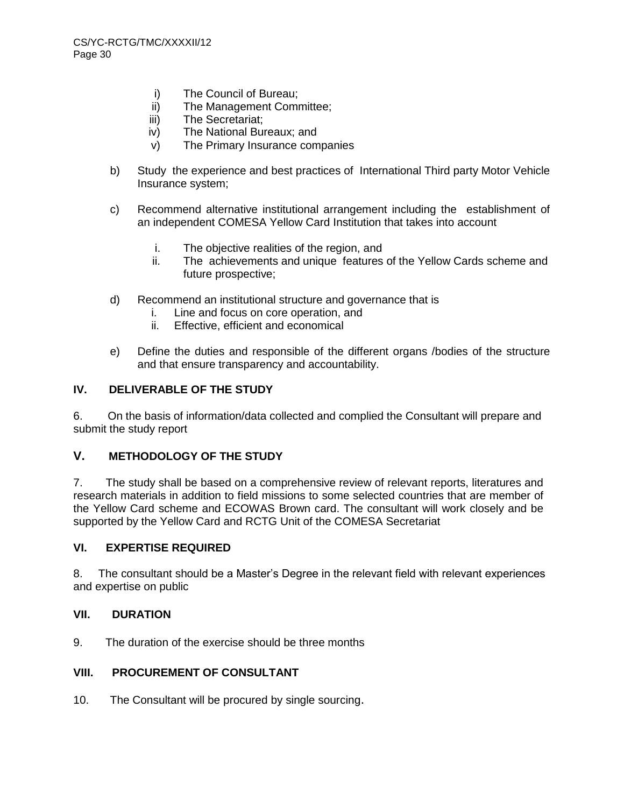- i) The Council of Bureau;
- ii) The Management Committee;
- iii) The Secretariat;
- iv) The National Bureaux; and
- v) The Primary Insurance companies
- b) Study the experience and best practices of International Third party Motor Vehicle Insurance system;
- c) Recommend alternative institutional arrangement including the establishment of an independent COMESA Yellow Card Institution that takes into account
	- i. The objective realities of the region, and
	- ii. The achievements and unique features of the Yellow Cards scheme and future prospective;
- d) Recommend an institutional structure and governance that is
	- i. Line and focus on core operation, and
	- ii. Effective, efficient and economical
- e) Define the duties and responsible of the different organs /bodies of the structure and that ensure transparency and accountability.

# **IV. DELIVERABLE OF THE STUDY**

6. On the basis of information/data collected and complied the Consultant will prepare and submit the study report

### **V. METHODOLOGY OF THE STUDY**

7. The study shall be based on a comprehensive review of relevant reports, literatures and research materials in addition to field missions to some selected countries that are member of the Yellow Card scheme and ECOWAS Brown card. The consultant will work closely and be supported by the Yellow Card and RCTG Unit of the COMESA Secretariat

#### **VI. EXPERTISE REQUIRED**

8. The consultant should be a Master's Degree in the relevant field with relevant experiences and expertise on public

#### **VII. DURATION**

9. The duration of the exercise should be three months

### **VIII. PROCUREMENT OF CONSULTANT**

10. The Consultant will be procured by single sourcing.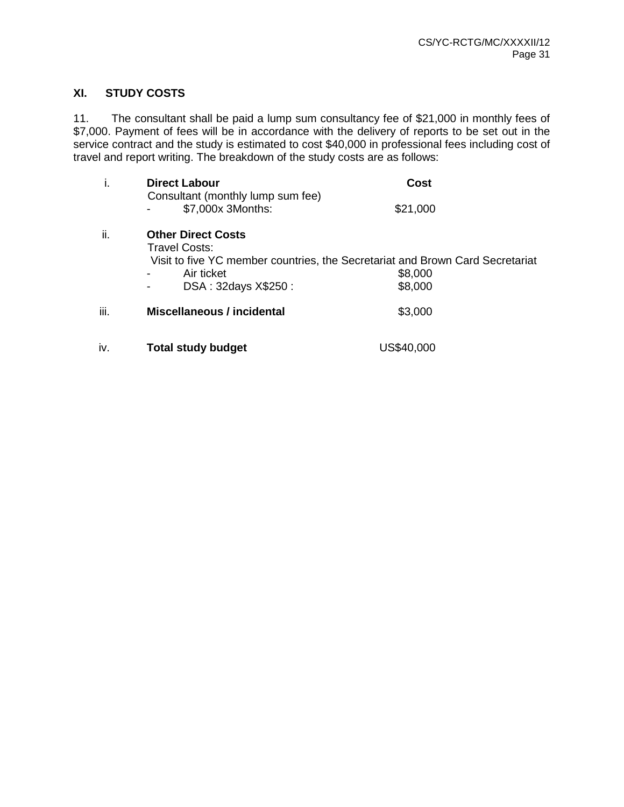### **XI. STUDY COSTS**

11. The consultant shall be paid a lump sum consultancy fee of \$21,000 in monthly fees of \$7,000. Payment of fees will be in accordance with the delivery of reports to be set out in the service contract and the study is estimated to cost \$40,000 in professional fees including cost of travel and report writing. The breakdown of the study costs are as follows:

|      | <b>Direct Labour</b>                                                          | <b>Cost</b> |
|------|-------------------------------------------------------------------------------|-------------|
|      | Consultant (monthly lump sum fee)<br>\$7,000x 3Months:                        | \$21,000    |
| ii.  | <b>Other Direct Costs</b>                                                     |             |
|      | Travel Costs:                                                                 |             |
|      | Visit to five YC member countries, the Secretariat and Brown Card Secretariat |             |
|      | Air ticket                                                                    | \$8,000     |
|      | DSA: 32days X\$250:                                                           | \$8,000     |
| iii. | Miscellaneous / incidental                                                    | \$3,000     |
|      |                                                                               |             |

iv. **Total study budget** US\$40,000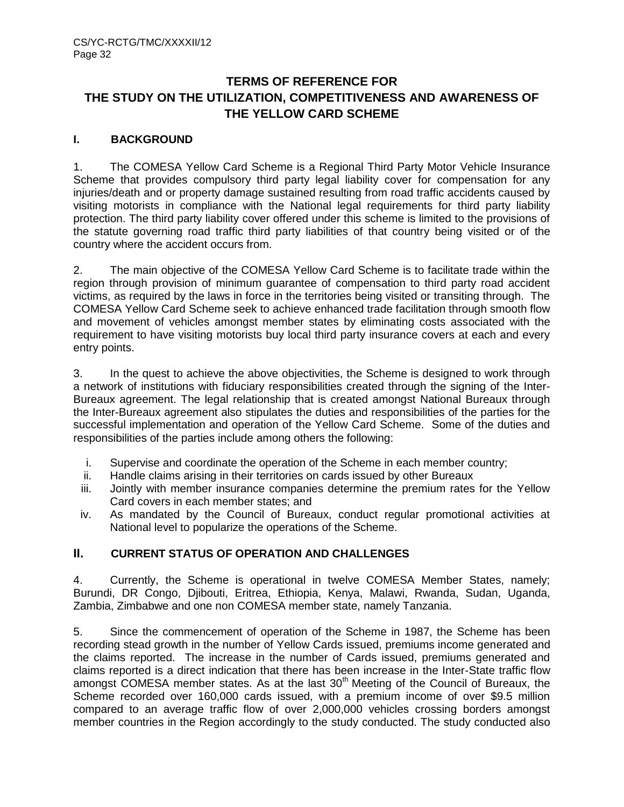# **TERMS OF REFERENCE FOR THE STUDY ON THE UTILIZATION, COMPETITIVENESS AND AWARENESS OF THE YELLOW CARD SCHEME**

# **I. BACKGROUND**

1. The COMESA Yellow Card Scheme is a Regional Third Party Motor Vehicle Insurance Scheme that provides compulsory third party legal liability cover for compensation for any injuries/death and or property damage sustained resulting from road traffic accidents caused by visiting motorists in compliance with the National legal requirements for third party liability protection. The third party liability cover offered under this scheme is limited to the provisions of the statute governing road traffic third party liabilities of that country being visited or of the country where the accident occurs from.

2. The main objective of the COMESA Yellow Card Scheme is to facilitate trade within the region through provision of minimum guarantee of compensation to third party road accident victims, as required by the laws in force in the territories being visited or transiting through. The COMESA Yellow Card Scheme seek to achieve enhanced trade facilitation through smooth flow and movement of vehicles amongst member states by eliminating costs associated with the requirement to have visiting motorists buy local third party insurance covers at each and every entry points.

3. In the quest to achieve the above objectivities, the Scheme is designed to work through a network of institutions with fiduciary responsibilities created through the signing of the Inter-Bureaux agreement. The legal relationship that is created amongst National Bureaux through the Inter-Bureaux agreement also stipulates the duties and responsibilities of the parties for the successful implementation and operation of the Yellow Card Scheme. Some of the duties and responsibilities of the parties include among others the following:

- i. Supervise and coordinate the operation of the Scheme in each member country;
- ii. Handle claims arising in their territories on cards issued by other Bureaux
- iii. Jointly with member insurance companies determine the premium rates for the Yellow Card covers in each member states; and
- iv. As mandated by the Council of Bureaux, conduct regular promotional activities at National level to popularize the operations of the Scheme.

# **II. CURRENT STATUS OF OPERATION AND CHALLENGES**

4. Currently, the Scheme is operational in twelve COMESA Member States, namely; Burundi, DR Congo, Djibouti, Eritrea, Ethiopia, Kenya, Malawi, Rwanda, Sudan, Uganda, Zambia, Zimbabwe and one non COMESA member state, namely Tanzania.

5. Since the commencement of operation of the Scheme in 1987, the Scheme has been recording stead growth in the number of Yellow Cards issued, premiums income generated and the claims reported. The increase in the number of Cards issued, premiums generated and claims reported is a direct indication that there has been increase in the Inter-State traffic flow amongst COMESA member states. As at the last 30<sup>th</sup> Meeting of the Council of Bureaux, the Scheme recorded over 160,000 cards issued, with a premium income of over \$9.5 million compared to an average traffic flow of over 2,000,000 vehicles crossing borders amongst member countries in the Region accordingly to the study conducted. The study conducted also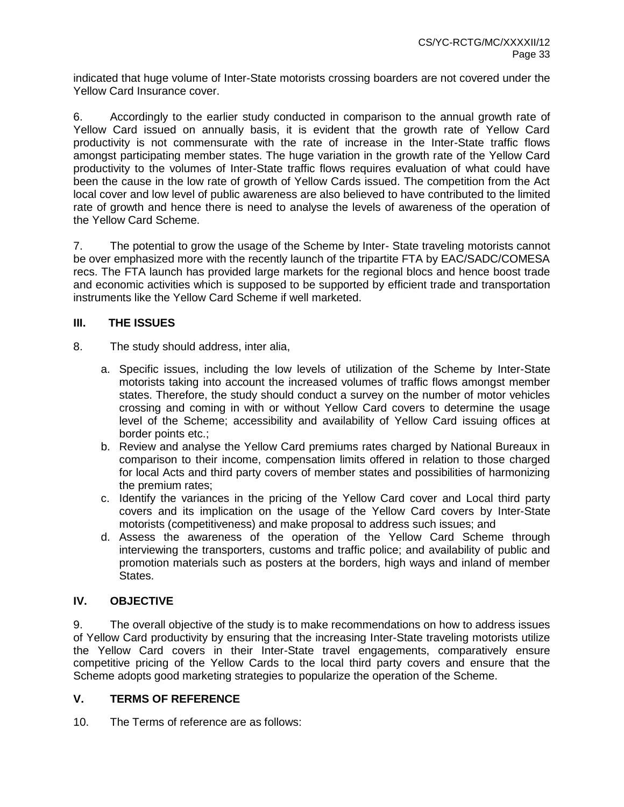indicated that huge volume of Inter-State motorists crossing boarders are not covered under the Yellow Card Insurance cover.

6. Accordingly to the earlier study conducted in comparison to the annual growth rate of Yellow Card issued on annually basis, it is evident that the growth rate of Yellow Card productivity is not commensurate with the rate of increase in the Inter-State traffic flows amongst participating member states. The huge variation in the growth rate of the Yellow Card productivity to the volumes of Inter-State traffic flows requires evaluation of what could have been the cause in the low rate of growth of Yellow Cards issued. The competition from the Act local cover and low level of public awareness are also believed to have contributed to the limited rate of growth and hence there is need to analyse the levels of awareness of the operation of the Yellow Card Scheme.

7. The potential to grow the usage of the Scheme by Inter- State traveling motorists cannot be over emphasized more with the recently launch of the tripartite FTA by EAC/SADC/COMESA recs. The FTA launch has provided large markets for the regional blocs and hence boost trade and economic activities which is supposed to be supported by efficient trade and transportation instruments like the Yellow Card Scheme if well marketed.

### **III. THE ISSUES**

- 8. The study should address, inter alia,
	- a. Specific issues, including the low levels of utilization of the Scheme by Inter-State motorists taking into account the increased volumes of traffic flows amongst member states. Therefore, the study should conduct a survey on the number of motor vehicles crossing and coming in with or without Yellow Card covers to determine the usage level of the Scheme; accessibility and availability of Yellow Card issuing offices at border points etc.;
	- b. Review and analyse the Yellow Card premiums rates charged by National Bureaux in comparison to their income, compensation limits offered in relation to those charged for local Acts and third party covers of member states and possibilities of harmonizing the premium rates;
	- c. Identify the variances in the pricing of the Yellow Card cover and Local third party covers and its implication on the usage of the Yellow Card covers by Inter-State motorists (competitiveness) and make proposal to address such issues; and
	- d. Assess the awareness of the operation of the Yellow Card Scheme through interviewing the transporters, customs and traffic police; and availability of public and promotion materials such as posters at the borders, high ways and inland of member States.

### **IV. OBJECTIVE**

9. The overall objective of the study is to make recommendations on how to address issues of Yellow Card productivity by ensuring that the increasing Inter-State traveling motorists utilize the Yellow Card covers in their Inter-State travel engagements, comparatively ensure competitive pricing of the Yellow Cards to the local third party covers and ensure that the Scheme adopts good marketing strategies to popularize the operation of the Scheme.

### **V. TERMS OF REFERENCE**

10. The Terms of reference are as follows: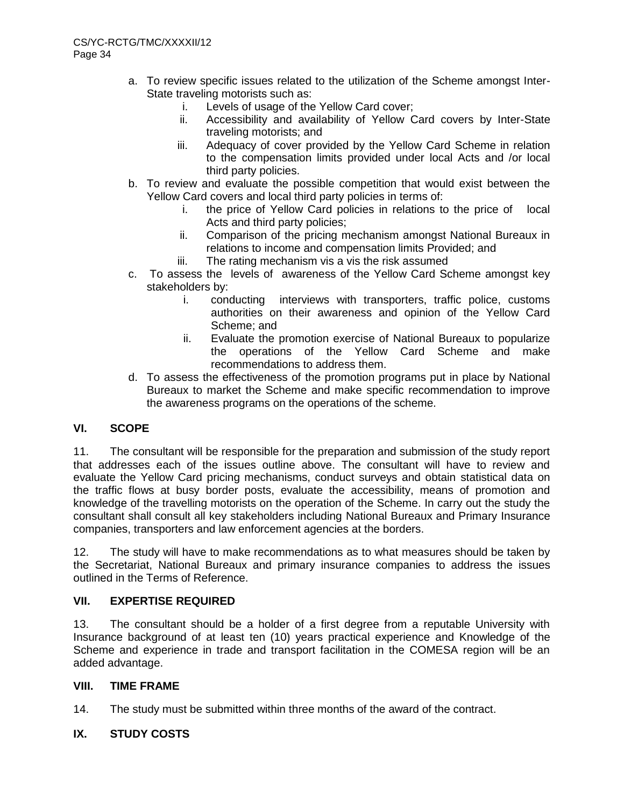- a. To review specific issues related to the utilization of the Scheme amongst Inter-State traveling motorists such as:
	- i. Levels of usage of the Yellow Card cover;
	- ii. Accessibility and availability of Yellow Card covers by Inter-State traveling motorists; and
	- iii. Adequacy of cover provided by the Yellow Card Scheme in relation to the compensation limits provided under local Acts and /or local third party policies.
- b. To review and evaluate the possible competition that would exist between the Yellow Card covers and local third party policies in terms of:
	- i. the price of Yellow Card policies in relations to the price of local Acts and third party policies;
	- ii. Comparison of the pricing mechanism amongst National Bureaux in relations to income and compensation limits Provided; and
	- iii. The rating mechanism vis a vis the risk assumed
- c. To assess the levels of awareness of the Yellow Card Scheme amongst key stakeholders by:
	- i. conducting interviews with transporters, traffic police, customs authorities on their awareness and opinion of the Yellow Card Scheme; and
	- ii. Evaluate the promotion exercise of National Bureaux to popularize the operations of the Yellow Card Scheme and make recommendations to address them.
- d. To assess the effectiveness of the promotion programs put in place by National Bureaux to market the Scheme and make specific recommendation to improve the awareness programs on the operations of the scheme.

# **VI. SCOPE**

11. The consultant will be responsible for the preparation and submission of the study report that addresses each of the issues outline above. The consultant will have to review and evaluate the Yellow Card pricing mechanisms, conduct surveys and obtain statistical data on the traffic flows at busy border posts, evaluate the accessibility, means of promotion and knowledge of the travelling motorists on the operation of the Scheme. In carry out the study the consultant shall consult all key stakeholders including National Bureaux and Primary Insurance companies, transporters and law enforcement agencies at the borders.

12. The study will have to make recommendations as to what measures should be taken by the Secretariat, National Bureaux and primary insurance companies to address the issues outlined in the Terms of Reference.

### **VII. EXPERTISE REQUIRED**

13. The consultant should be a holder of a first degree from a reputable University with Insurance background of at least ten (10) years practical experience and Knowledge of the Scheme and experience in trade and transport facilitation in the COMESA region will be an added advantage.

#### **VIII. TIME FRAME**

14. The study must be submitted within three months of the award of the contract.

### **IX. STUDY COSTS**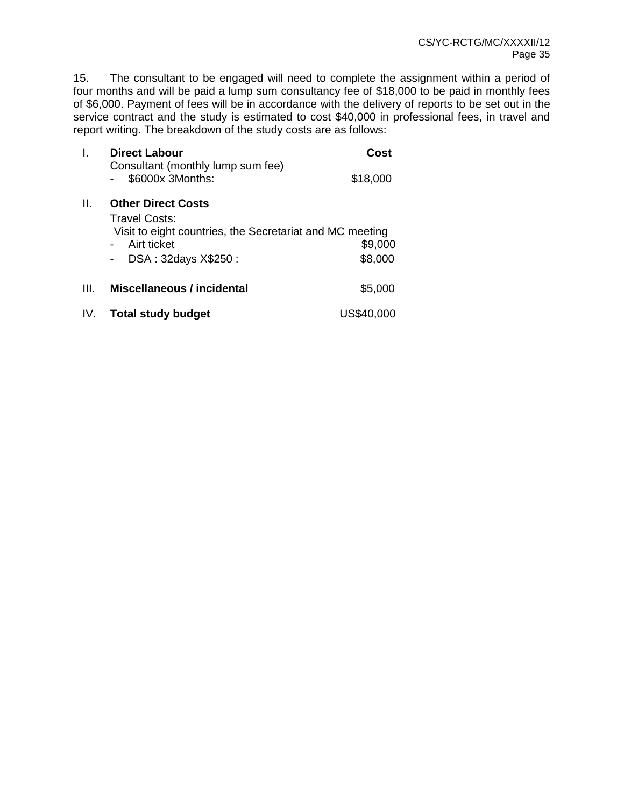15. The consultant to be engaged will need to complete the assignment within a period of four months and will be paid a lump sum consultancy fee of \$18,000 to be paid in monthly fees of \$6,000. Payment of fees will be in accordance with the delivery of reports to be set out in the service contract and the study is estimated to cost \$40,000 in professional fees, in travel and report writing. The breakdown of the study costs are as follows:

| <b>Direct Labour</b><br>Consultant (monthly lump sum fee)<br>\$6000x 3Months: |                                                                                                                                  | Cost               |
|-------------------------------------------------------------------------------|----------------------------------------------------------------------------------------------------------------------------------|--------------------|
|                                                                               |                                                                                                                                  | \$18,000           |
| Ш.                                                                            | <b>Other Direct Costs</b>                                                                                                        |                    |
|                                                                               | <b>Travel Costs:</b><br>Visit to eight countries, the Secretariat and MC meeting<br>Airt ticket<br>DSA: 32days X\$250:<br>$\sim$ | \$9,000<br>\$8,000 |
| III.                                                                          | Miscellaneous / incidental                                                                                                       | \$5,000            |
| IV.                                                                           | <b>Total study budget</b>                                                                                                        | US\$40,000         |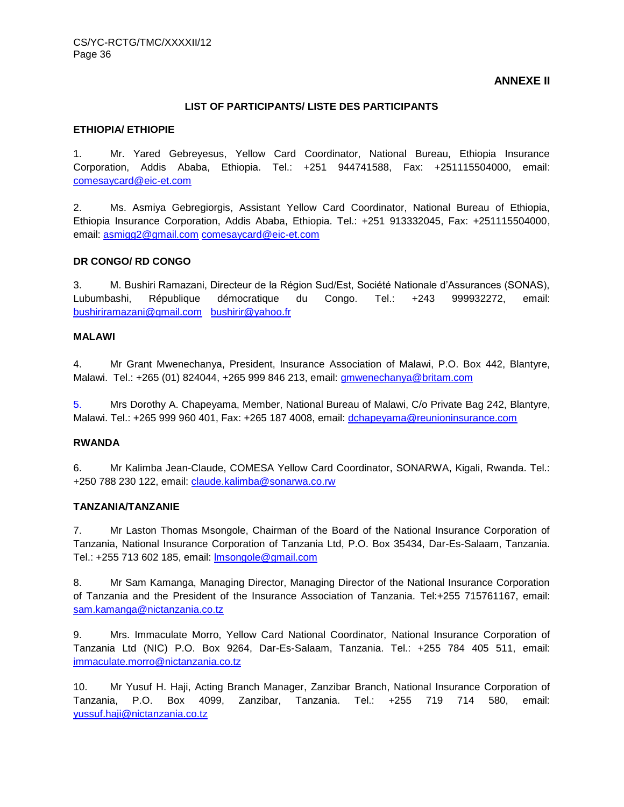**ANNEXE II**

#### **LIST OF PARTICIPANTS/ LISTE DES PARTICIPANTS**

#### **ETHIOPIA/ ETHIOPIE**

1. Mr. Yared Gebreyesus, Yellow Card Coordinator, National Bureau, Ethiopia Insurance Corporation, Addis Ababa, Ethiopia. Tel.: +251 944741588, Fax: +251115504000, email: [comesaycard@eic-et.com](mailto:comesaycard@eic-et.com)

2. Ms. Asmiya Gebregiorgis, Assistant Yellow Card Coordinator, National Bureau of Ethiopia, Ethiopia Insurance Corporation, Addis Ababa, Ethiopia. Tel.: +251 913332045, Fax: +251115504000, email: [asmigg2@gmail.com](mailto:asmigg2@gmail.com) [comesaycard@eic-et.com](mailto:comesaycard@eic-et.com)

#### **DR CONGO/ RD CONGO**

3. M. Bushiri Ramazani, Directeur de la Région Sud/Est, Société Nationale d'Assurances (SONAS), Lubumbashi, République démocratique du Congo. Tel.: +243 999932272, email: [bushiriramazani@gmail.com](mailto:bushiriramazani@gmail.com) [bushirir@yahoo.fr](mailto:bushirir@yahoo.fr)

#### **MALAWI**

4. Mr Grant Mwenechanya, President, Insurance Association of Malawi, P.O. Box 442, Blantyre, Malawi. Tel.: +265 (01) 824044, +265 999 846 213, email: [gmwenechanya@britam.com](mailto:gmwenechanya@britam.com)

5. Mrs Dorothy A. Chapeyama, Member, National Bureau of Malawi, C/o Private Bag 242, Blantyre, Malawi. Tel.: +265 999 960 401, Fax: +265 187 4008, email: [dchapeyama@reunioninsurance.com](mailto:dchapeyama@reunioninsurance.com)

#### **RWANDA**

6. Mr Kalimba Jean-Claude, COMESA Yellow Card Coordinator, SONARWA, Kigali, Rwanda. Tel.: +250 788 230 122, email: [claude.kalimba@sonarwa.co.rw](mailto:claude.kalimba@sonarwa.co.rw)

#### **TANZANIA/TANZANIE**

7. Mr Laston Thomas Msongole, Chairman of the Board of the National Insurance Corporation of Tanzania, National Insurance Corporation of Tanzania Ltd, P.O. Box 35434, Dar-Es-Salaam, Tanzania. Tel.: +255 713 602 185, email: [lmsongole@gmail.com](mailto:lmsongole@gmail.com)

8. Mr Sam Kamanga, Managing Director, Managing Director of the National Insurance Corporation of Tanzania and the President of the Insurance Association of Tanzania.<Tel:+255> 715761167, email: [sam.kamanga@nictanzania.co.tz](mailto:sam.kamanga@nictanzania.co.tz)

9. Mrs. Immaculate Morro, Yellow Card National Coordinator, National Insurance Corporation of Tanzania Ltd (NIC) P.O. Box 9264, Dar-Es-Salaam, Tanzania. Tel.: +255 784 405 511, email: [immaculate.morro@nictanzania.co.tz](mailto:immaculate.morro@nictanzania.co.tz)

10. Mr Yusuf H. Haji, Acting Branch Manager, Zanzibar Branch, National Insurance Corporation of Tanzania, P.O. Box 4099, Zanzibar, Tanzania. Tel.: +255 719 714 580, email: [yussuf.haji@nictanzania.co.tz](mailto:yussuf.haji@nictanzania.co.tz)